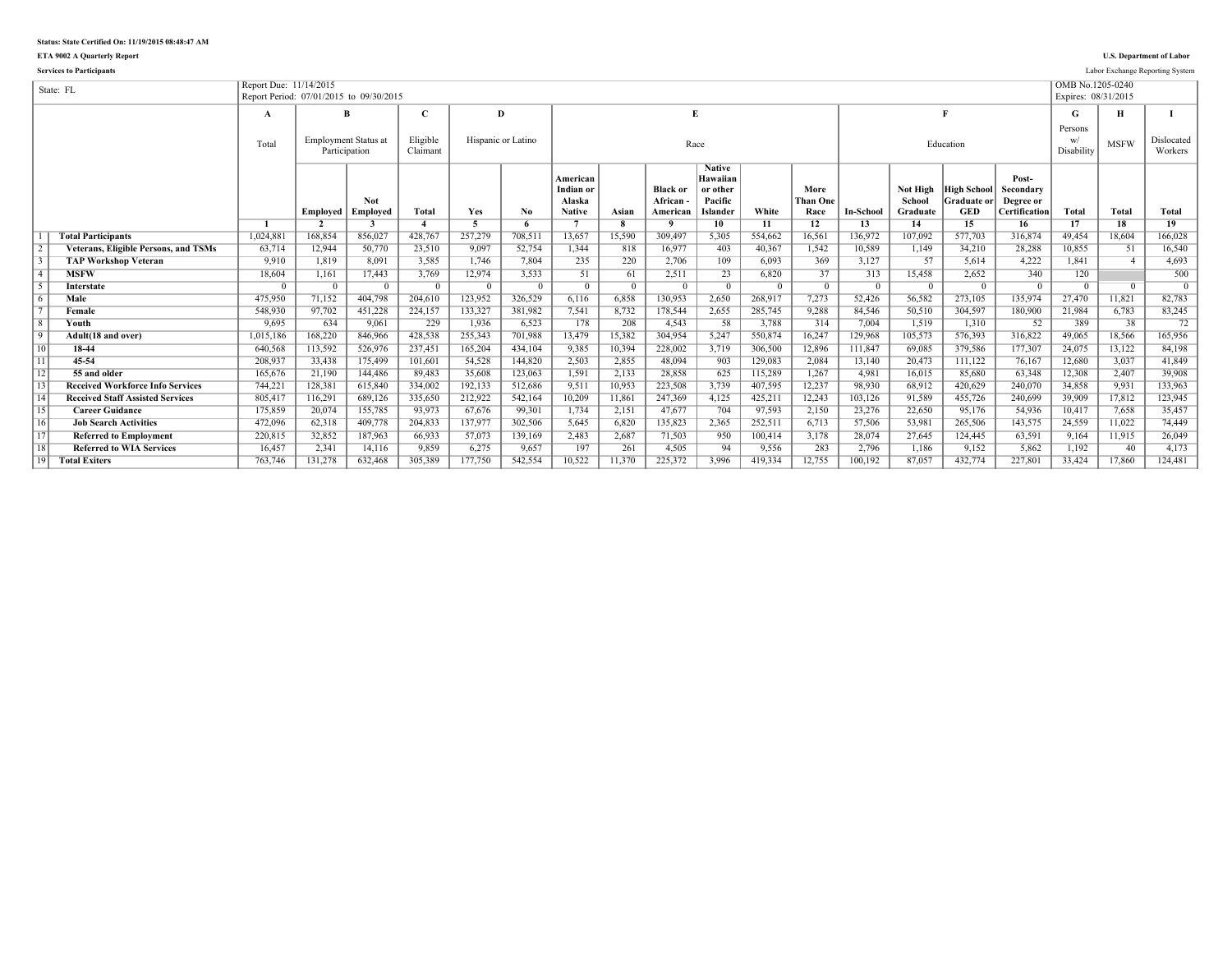## **Status: State Certified On: 11/19/2015 08:48:47 AM**

**ETA 9002 A Quarterly Report U.S. Department of Labor**

|                 | <b>Services to Participants</b>             |                                                                   |          |                                              |                      |                    |                |                                                  |                |                                          |                                                              |         |                                 |                  |                                |                                                        |                                                         |                                         |             | Labor Exchange Reporting System |
|-----------------|---------------------------------------------|-------------------------------------------------------------------|----------|----------------------------------------------|----------------------|--------------------|----------------|--------------------------------------------------|----------------|------------------------------------------|--------------------------------------------------------------|---------|---------------------------------|------------------|--------------------------------|--------------------------------------------------------|---------------------------------------------------------|-----------------------------------------|-------------|---------------------------------|
|                 | State: FL                                   | Report Due: 11/14/2015<br>Report Period: 07/01/2015 to 09/30/2015 |          |                                              |                      |                    |                |                                                  |                |                                          |                                                              |         |                                 |                  |                                |                                                        |                                                         | OMB No.1205-0240<br>Expires: 08/31/2015 |             |                                 |
|                 |                                             | $\mathbf A$                                                       |          | В                                            | C                    | Ð                  |                |                                                  |                | $\mathbf{E}$                             |                                                              |         |                                 |                  |                                |                                                        |                                                         | G                                       | н           |                                 |
|                 |                                             | Total                                                             |          | <b>Employment Status at</b><br>Participation | Eligible<br>Claimant | Hispanic or Latino |                |                                                  |                |                                          | Race                                                         |         |                                 |                  |                                | Education                                              |                                                         | Persons<br>Disability                   | <b>MSFW</b> | Dislocated<br>Workers           |
|                 |                                             |                                                                   | Employed | <b>Not</b><br>Employed                       | <b>Total</b>         | Yes                | No             | American<br>Indian or<br>Alaska<br><b>Native</b> | Asian          | <b>Black or</b><br>African -<br>American | <b>Native</b><br>Hawaiian<br>or other<br>Pacific<br>Islander | White   | More<br><b>Than One</b><br>Race | <b>In-School</b> | Not High<br>School<br>Graduate | <b>High School</b><br><b>Graduate or</b><br><b>GED</b> | Post-<br>Secondary<br>Degree or<br><b>Certification</b> | Total                                   | Total       | <b>Total</b>                    |
|                 |                                             |                                                                   |          |                                              |                      | 5                  |                |                                                  |                |                                          | 10                                                           | 11      | 12                              | 13               | 14                             | 15                                                     | 16                                                      | 17                                      | 18          | 19                              |
|                 | <b>Total Participants</b>                   | 1,024,881                                                         | 168.854  | 856.027                                      | 428.767              | 257,279            | 708.511        | 13.657                                           | 15.590         | 309.497                                  | 5,305                                                        | 554.662 | 16.561                          | 136.972          | 107.092                        | 577.703                                                | 316.874                                                 | 49.454                                  | 18.604      | 166.028                         |
| $\sqrt{2}$      | <b>Veterans, Eligible Persons, and TSMs</b> | 63,714                                                            | 12,944   | 50,770                                       | 23,510               | 9,097              | 52,754         | 1,344                                            | 818            | 16,977                                   | 403                                                          | 40,367  | 1,542                           | 10,589           | 1,149                          | 34,210                                                 | 28,288                                                  | 10,855                                  | 51          | 16,540                          |
| $\overline{3}$  | <b>TAP Workshop Veteran</b>                 | 9,910                                                             | 1.819    | 8,091                                        | 3,585                | 1.746              | 7.804          | 235                                              | 220            | 2,706                                    | 109                                                          | 6.093   | 369                             | 3,127            | 57                             | 5.614                                                  | 4,222                                                   | 1.841                                   |             | 4,693                           |
| $\overline{4}$  | <b>MSFW</b>                                 | 18,604                                                            | 1,161    | 17,443                                       | 3,769                | 12,974             | 3,533          | 51                                               | 61             | 2,511                                    | 23                                                           | 6,820   | 37                              | 313              | 15,458                         | 2,652                                                  | 340                                                     | 120                                     |             | 500                             |
| $\sqrt{5}$      | <b>Interstate</b>                           | $\Omega$                                                          | $\Omega$ | $\Omega$                                     |                      | $^{\circ}$         | $\overline{0}$ | $\overline{0}$                                   | $\overline{0}$ | $\Omega$                                 | $\overline{0}$                                               |         |                                 | $\Omega$         | $\Omega$                       | $\Omega$                                               | $\overline{0}$                                          | $\Omega$                                | $\Omega$    | $\overline{0}$                  |
| $\sqrt{6}$      | Male                                        | 475.950                                                           | 71.152   | 404.798                                      | 204.610              | 123.952            | 326.529        | 6.116                                            | 6.858          | 130.953                                  | 2,650                                                        | 268.917 | 7.273                           | 52.426           | 56.582                         | 273.105                                                | 135.974                                                 | 27.470                                  | 11.821      | 82,783                          |
| $\overline{7}$  | Female                                      | 548,930                                                           | 97,702   | 451,228                                      | 224,157              | 133,327            | 381,982        | 7,541                                            | 8,732          | 178,544                                  | 2,655                                                        | 285,745 | 9,288                           | 84.546           | 50.510                         | 304,597                                                | 180,900                                                 | 21,984                                  | 6,783       | 83,245                          |
| $\overline{8}$  | Youth                                       | 9,695                                                             | 634      | 9,061                                        | 229                  | 1,936              | 6,523          | 178                                              | 208            | 4.543                                    | 58                                                           | 3,788   | 314                             | 7.004            | 1.519                          | 1.310                                                  | 52                                                      | 389                                     | 38          | 72                              |
| $\sqrt{9}$      | Adult(18 and over)                          | 1,015,186                                                         | 168,220  | 846.966                                      | 428.538              | 255,343            | 701.988        | 13,479                                           | 15,382         | 304.954                                  | 5,247                                                        | 550.874 | 16.247                          | 129.968          | 105.573                        | 576.393                                                | 316,822                                                 | 49.065                                  | 18.566      | 165,956                         |
| 10              | 18-44                                       | 640,568                                                           | 113,592  | 526,976                                      | 237,451              | 165,204            | 434,104        | 9,385                                            | 10,394         | 228,002                                  | 3,719                                                        | 306,500 | 12,896                          | 111,847          | 69.085                         | 379,586                                                | 177,307                                                 | 24,075                                  | 13,122      | 84,198                          |
| $\overline{11}$ | 45-54                                       | 208,937                                                           | 33,438   | 175,499                                      | 101,601              | 54.528             | 144,820        | 2.503                                            | 2,855          | 48.094                                   | 903                                                          | 129,083 | 2,084                           | 13,140           | 20.473                         | 111,122                                                | 76,167                                                  | 12,680                                  | 3,037       | 41,849                          |
| 12              | 55 and older                                | 165,676                                                           | 21,190   | 144,486                                      | 89.483               | 35,608             | 123,063        | 1.591                                            | 2,133          | 28,858                                   | 625                                                          | 115,289 | 1,267                           | 4,981            | 16.015                         | 85,680                                                 | 63,348                                                  | 12,308                                  | 2.407       | 39,908                          |
| $\sqrt{13}$     | <b>Received Workforce Info Services</b>     | 744,221                                                           | 128.381  | 615,840                                      | 334.002              | 192.133            | 512,686        | 9.511                                            | 10,953         | 223.508                                  | 3,739                                                        | 407,595 | 12.237                          | 98.930           | 68.912                         | 420.629                                                | 240,070                                                 | 34.858                                  | 9.931       | 133,963                         |
| $\overline{14}$ | <b>Received Staff Assisted Services</b>     | 805,417                                                           | 116,291  | 689.126                                      | 335,650              | 212,922            | 542.164        | 10,209                                           | 11,861         | 247.369                                  | 4,125                                                        | 425,211 | 12,243                          | 103,126          | 91.589                         | 455.726                                                | 240,699                                                 | 39.909                                  | 17,812      | 123,945                         |
| 15              | <b>Career Guidance</b>                      | 175,859                                                           | 20,074   | 155,785                                      | 93.973               | 67,676             | 99,301         | 1,734                                            | 2,151          | 47.677                                   | 704                                                          | 97,593  | 2,150                           | 23,276           | 22,650                         | 95,176                                                 | 54,936                                                  | 10,417                                  | 7,658       | 35,457                          |
| 16              | <b>Job Search Activities</b>                | 472,096                                                           | 62,318   | 409,778                                      | 204,833              | 137.977            | 302,506        | 5.645                                            | 6,820          | 135,823                                  | 2,365                                                        | 252,511 | 6,713                           | 57,506           | 53.981                         | 265.506                                                | 143,575                                                 | 24,559                                  | 11,022      | 74,449                          |
| $\overline{17}$ | <b>Referred to Employment</b>               | 220,815                                                           | 32,852   | 187,963                                      | 66.933               | 57.073             | 139,169        | 2.483                                            | 2,687          | 71,503                                   | 950                                                          | 100,414 | 3,178                           | 28.074           | 27.645                         | 124,445                                                | 63,591                                                  | 9.164                                   | 11,915      | 26,049                          |
| 18              | <b>Referred to WIA Services</b>             | 16,457                                                            | 2,341    | 14,116                                       | 9.859                | 6.275              | 9,657          | 197                                              | 261            | 4.505                                    | 94                                                           | 9,556   | 283                             | 2,796            | 1.186                          | 9.152                                                  | 5,862                                                   | 1,192                                   | 40          | 4.173                           |
| 19              | <b>Total Exiters</b>                        | 763.746                                                           | 131.278  | 632.468                                      | 305.389              | 177.750            | 542.554        | 10.522                                           | 11.370         | 225.372                                  | 3.996                                                        | 419.334 | 12.755                          | 100.192          | 87.057                         | 432.774                                                | 227.801                                                 | 33.424                                  | 17.860      | 124.481                         |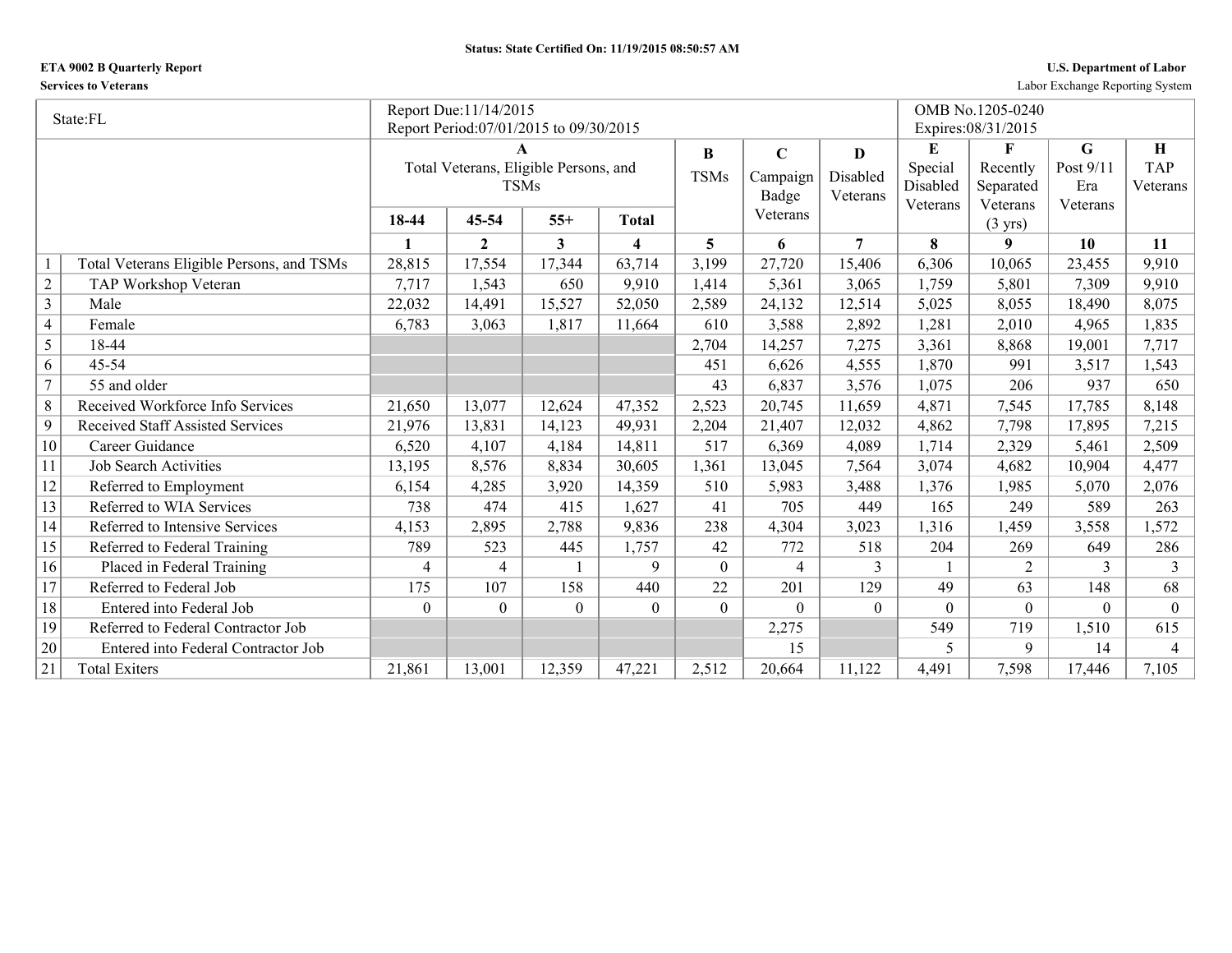## **ETA 9002 B Quarterly Report U.S. Department of Labor**

**Services to Veterans** Labor Exchange Reporting System

|                | State:FL                                  |          | Report Due: 11/14/2015                 |          |                         |                |                |                |                      | OMB No.1205-0240              |                 |                |
|----------------|-------------------------------------------|----------|----------------------------------------|----------|-------------------------|----------------|----------------|----------------|----------------------|-------------------------------|-----------------|----------------|
|                |                                           |          | Report Period:07/01/2015 to 09/30/2015 |          |                         |                |                |                |                      | Expires: 08/31/2015           |                 |                |
|                |                                           |          |                                        |          |                         | B              | $\mathbf C$    | $\bf{D}$       | E                    | $\mathbf{F}$                  | G               | H              |
|                |                                           |          | Total Veterans, Eligible Persons, and  |          |                         | <b>TSMs</b>    | Campaign       | Disabled       | Special              | Recently                      | Post 9/11       | <b>TAP</b>     |
|                |                                           |          | <b>TSMs</b>                            |          |                         |                | Badge          | Veterans       | Disabled<br>Veterans | Separated                     | Era<br>Veterans | Veterans       |
|                |                                           | 18-44    | 45-54                                  | $55+$    | <b>Total</b>            |                | Veterans       |                |                      | Veterans<br>$(3 \text{ yrs})$ |                 |                |
|                |                                           | 1        | $\overline{2}$                         | 3        | $\overline{\mathbf{4}}$ | 5              | 6              | $\overline{7}$ | 8                    | 9                             | 10              | 11             |
|                | Total Veterans Eligible Persons, and TSMs | 28,815   | 17,554                                 | 17,344   | 63,714                  | 3,199          | 27,720         | 15,406         | 6,306                | 10,065                        | 23,455          | 9,910          |
| $\sqrt{2}$     | TAP Workshop Veteran                      | 7,717    | 1,543                                  | 650      | 9,910                   | 1,414          | 5,361          | 3,065          | 1,759                | 5,801                         | 7,309           | 9,910          |
| $\overline{3}$ | Male                                      | 22,032   | 14,491                                 | 15,527   | 52,050                  | 2,589          | 24,132         | 12,514         | 5,025                | 8,055                         | 18,490          | 8,075          |
| $\overline{4}$ | Female                                    | 6,783    | 3,063                                  | 1,817    | 11,664                  | 610            | 3,588          | 2,892          | 1,281                | 2,010                         | 4,965           | 1,835          |
| 5              | 18-44                                     |          |                                        |          |                         | 2,704          | 14,257         | 7,275          | 3,361                | 8,868                         | 19,001          | 7,717          |
| 6              | 45-54                                     |          |                                        |          |                         | 451            | 6,626          | 4,555          | 1,870                | 991                           | 3,517           | 1,543          |
| $\overline{7}$ | 55 and older                              |          |                                        |          |                         | 43             | 6,837          | 3,576          | 1,075                | 206                           | 937             | 650            |
| $\,8\,$        | Received Workforce Info Services          | 21,650   | 13,077                                 | 12,624   | 47,352                  | 2,523          | 20,745         | 11,659         | 4,871                | 7,545                         | 17,785          | 8,148          |
| $\overline{9}$ | <b>Received Staff Assisted Services</b>   | 21,976   | 13,831                                 | 14,123   | 49,931                  | 2,204          | 21,407         | 12,032         | 4,862                | 7,798                         | 17,895          | 7,215          |
| 10             | Career Guidance                           | 6,520    | 4,107                                  | 4,184    | 14,811                  | 517            | 6,369          | 4,089          | 1,714                | 2,329                         | 5,461           | 2,509          |
| 11             | <b>Job Search Activities</b>              | 13,195   | 8,576                                  | 8,834    | 30,605                  | 1,361          | 13,045         | 7,564          | 3,074                | 4,682                         | 10,904          | 4,477          |
| 12             | Referred to Employment                    | 6,154    | 4,285                                  | 3,920    | 14,359                  | 510            | 5,983          | 3,488          | 1,376                | 1,985                         | 5,070           | 2,076          |
| 13             | Referred to WIA Services                  | 738      | 474                                    | 415      | 1,627                   | 41             | 705            | 449            | 165                  | 249                           | 589             | 263            |
| 14             | Referred to Intensive Services            | 4,153    | 2,895                                  | 2,788    | 9,836                   | 238            | 4,304          | 3,023          | 1,316                | 1,459                         | 3,558           | 1,572          |
| 15             | Referred to Federal Training              | 789      | 523                                    | 445      | 1,757                   | 42             | 772            | 518            | 204                  | 269                           | 649             | 286            |
| 16             | Placed in Federal Training                | 4        | 4                                      |          | 9                       | $\overline{0}$ | $\overline{4}$ | 3              |                      | $\overline{2}$                | 3               | 3              |
| 17             | Referred to Federal Job                   | 175      | 107                                    | 158      | 440                     | 22             | 201            | 129            | 49                   | 63                            | 148             | 68             |
| 18             | Entered into Federal Job                  | $\Omega$ | $\Omega$                               | $\theta$ | $\theta$                | $\theta$       | $\theta$       | $\theta$       | $\theta$             | $\theta$                      | $\Omega$        | $\theta$       |
| 19             | Referred to Federal Contractor Job        |          |                                        |          |                         |                | 2,275          |                | 549                  | 719                           | 1,510           | 615            |
| 20             | Entered into Federal Contractor Job       |          |                                        |          |                         |                | 15             |                | 5                    | 9                             | 14              | $\overline{4}$ |
| 21             | <b>Total Exiters</b>                      | 21,861   | 13,001                                 | 12,359   | 47,221                  | 2,512          | 20,664         | 11,122         | 4,491                | 7,598                         | 17,446          | 7,105          |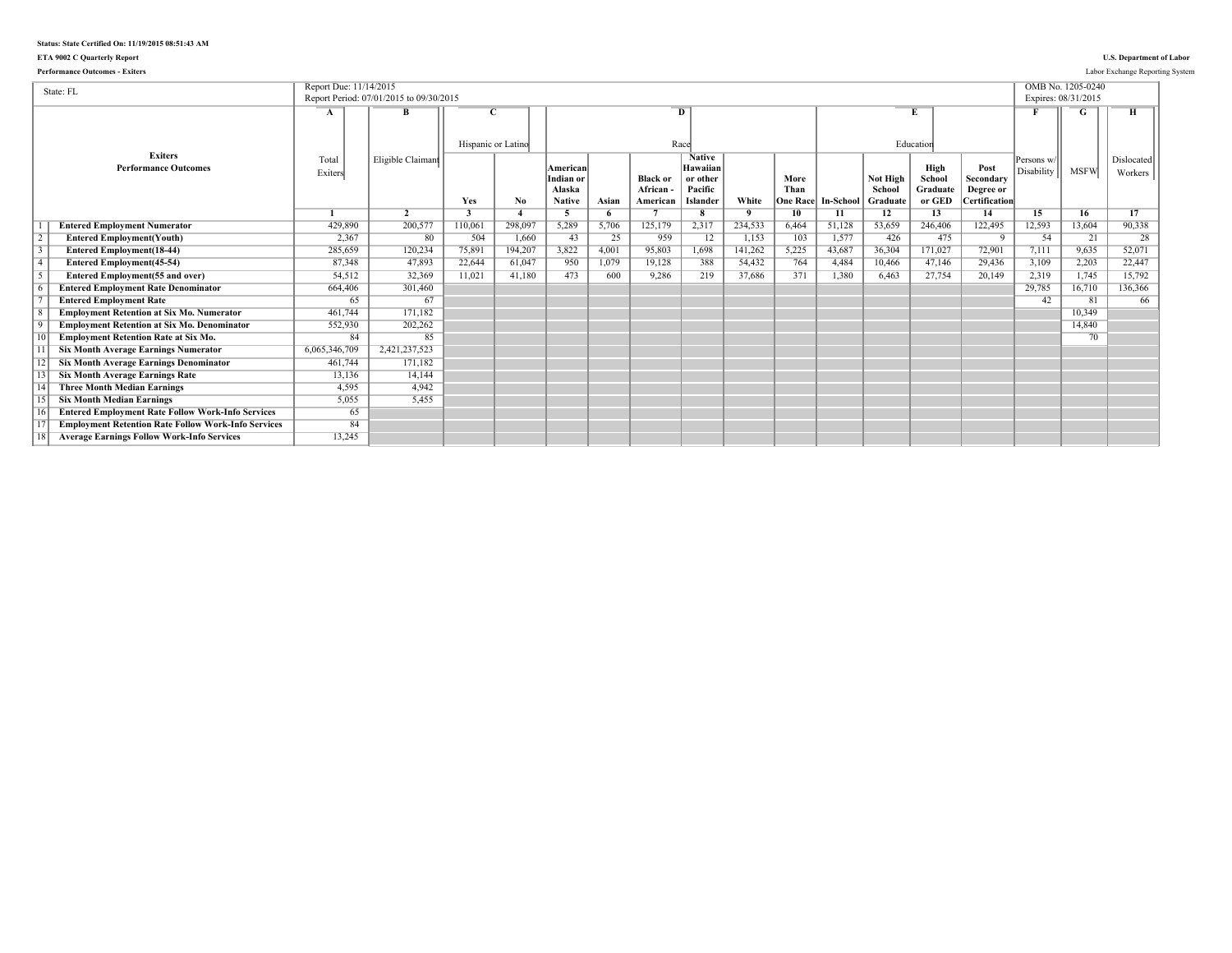## **Status: State Certified On: 11/19/2015 08:51:43 AM**

## **ETA 9002 C Quarterly Report U.S. Department of Labor**

| State: FL                                                  | Report Due: 11/14/2015 | Report Period: 07/01/2015 to 09/30/2015 |                    |         |                                                  |       |                                        |                                                              |                |                 |                              |                                |                                      |                                                        | Expires: 08/31/2015      | OMB No. 1205-0240 |                       |
|------------------------------------------------------------|------------------------|-----------------------------------------|--------------------|---------|--------------------------------------------------|-------|----------------------------------------|--------------------------------------------------------------|----------------|-----------------|------------------------------|--------------------------------|--------------------------------------|--------------------------------------------------------|--------------------------|-------------------|-----------------------|
|                                                            | A                      | в                                       | Hispanic or Latino |         |                                                  |       |                                        | $\overline{D}$<br>Race                                       |                |                 |                              |                                | Education                            |                                                        |                          |                   |                       |
| <b>Exiters</b><br><b>Performance Outcomes</b>              | Total<br>Exiters       | Eligible Claimant                       | Yes                | No.     | American<br>Indian or<br>Alaska<br><b>Native</b> | Asian | <b>Black or</b><br>African<br>American | <b>Native</b><br>Hawaiian<br>or other<br>Pacific<br>Islander | White          | More<br>Than    | <b>One Race  In-School  </b> | Not High<br>School<br>Graduate | High<br>School<br>Graduate<br>or GED | Post<br>Secondary<br>Degree or<br><b>Certification</b> | Persons w/<br>Disability | <b>MSFW</b>       | Dislocated<br>Workers |
|                                                            |                        | $\overline{2}$                          | 3                  |         | 5                                                | -6    |                                        | $\overline{\mathbf{8}}$                                      | $\overline{q}$ | 10 <sup>7</sup> | 11                           | 12                             | 13                                   | 14                                                     | 15                       | 16                | 17                    |
| <b>Entered Employment Numerator</b>                        | 429,890                | 200,577                                 | 110,061            | 298.097 | 5,289                                            | 5,706 | 125,179                                | 2,317                                                        | 234.533        | 6,464           | 51,128                       | 53,659                         | 246,406                              | 122,495                                                | 12,593                   | 13,604            | 90,338                |
| <b>Entered Employment(Youth)</b>                           | 2,367                  | 80                                      | 504                | 1.660   | 43                                               | 25    | 959                                    | 12                                                           | 1,153          | 103             | 1,577                        | 426                            | 475                                  | $\overline{9}$                                         | 54                       | $\overline{21}$   | 28                    |
| <b>Entered Employment</b> (18-44)                          | 285,659                | 120,234                                 | 75,891             | 194,207 | 3,822                                            | 4.001 | 95,803                                 | 1,698                                                        | 141,262        | 5,225           | 43,687                       | 36.304                         | 171,027                              | 72,901                                                 | 7,111                    | 9,635             | 52,071                |
| <b>Entered Employment</b> (45-54)                          | 87,348                 | 47,893                                  | 22,644             | 61,047  | 950                                              | 1.079 | 19,128                                 | 388                                                          | 54,432         | 764             | 4,484                        | 10,466                         | 47,146                               | 29,436                                                 | 3,109                    | 2,203             | 22,447                |
| <b>Entered Employment(55 and over)</b>                     | 54,512                 | 32.369                                  | 11,021             | 41,180  | 473                                              | 600   | 9,286                                  | 219                                                          | 37,686         | 371             | 1.380                        | 6.463                          | 27,754                               | 20,149                                                 | 2,319                    | 1,745             | 15.792                |
| <b>Entered Employment Rate Denominator</b>                 | 664,406                | 301,460                                 |                    |         |                                                  |       |                                        |                                                              |                |                 |                              |                                |                                      |                                                        | 29,785                   | 16,710            | 136,366               |
| <b>Entered Employment Rate</b>                             | 65                     | 67                                      |                    |         |                                                  |       |                                        |                                                              |                |                 |                              |                                |                                      |                                                        | 42                       | 81                | 66                    |
| <b>Employment Retention at Six Mo. Numerator</b>           | 461.744                | 171.182                                 |                    |         |                                                  |       |                                        |                                                              |                |                 |                              |                                |                                      |                                                        |                          | 10.349            |                       |
| <b>Employment Retention at Six Mo. Denominator</b>         | 552,930                | 202,262                                 |                    |         |                                                  |       |                                        |                                                              |                |                 |                              |                                |                                      |                                                        |                          | 14,840            |                       |
| <b>Employment Retention Rate at Six Mo.</b>                | 84                     | 85                                      |                    |         |                                                  |       |                                        |                                                              |                |                 |                              |                                |                                      |                                                        |                          | 70                |                       |
| <b>Six Month Average Earnings Numerator</b>                | 6,065,346,709          | 2,421,237,523                           |                    |         |                                                  |       |                                        |                                                              |                |                 |                              |                                |                                      |                                                        |                          |                   |                       |
| <b>Six Month Average Earnings Denominator</b>              | 461,744                | 171.182                                 |                    |         |                                                  |       |                                        |                                                              |                |                 |                              |                                |                                      |                                                        |                          |                   |                       |
| <b>Six Month Average Earnings Rate</b>                     | 13,136                 | 14,144                                  |                    |         |                                                  |       |                                        |                                                              |                |                 |                              |                                |                                      |                                                        |                          |                   |                       |
| <b>Three Month Median Earnings</b>                         | 4.595                  | 4.942                                   |                    |         |                                                  |       |                                        |                                                              |                |                 |                              |                                |                                      |                                                        |                          |                   |                       |
| <b>Six Month Median Earnings</b>                           | 5,055                  | 5.455                                   |                    |         |                                                  |       |                                        |                                                              |                |                 |                              |                                |                                      |                                                        |                          |                   |                       |
| <b>Entered Employment Rate Follow Work-Info Services</b>   | 65                     |                                         |                    |         |                                                  |       |                                        |                                                              |                |                 |                              |                                |                                      |                                                        |                          |                   |                       |
| <b>Employment Retention Rate Follow Work-Info Services</b> | 84                     |                                         |                    |         |                                                  |       |                                        |                                                              |                |                 |                              |                                |                                      |                                                        |                          |                   |                       |
| <b>Average Earnings Follow Work-Info Services</b>          | 13,245                 |                                         |                    |         |                                                  |       |                                        |                                                              |                |                 |                              |                                |                                      |                                                        |                          |                   |                       |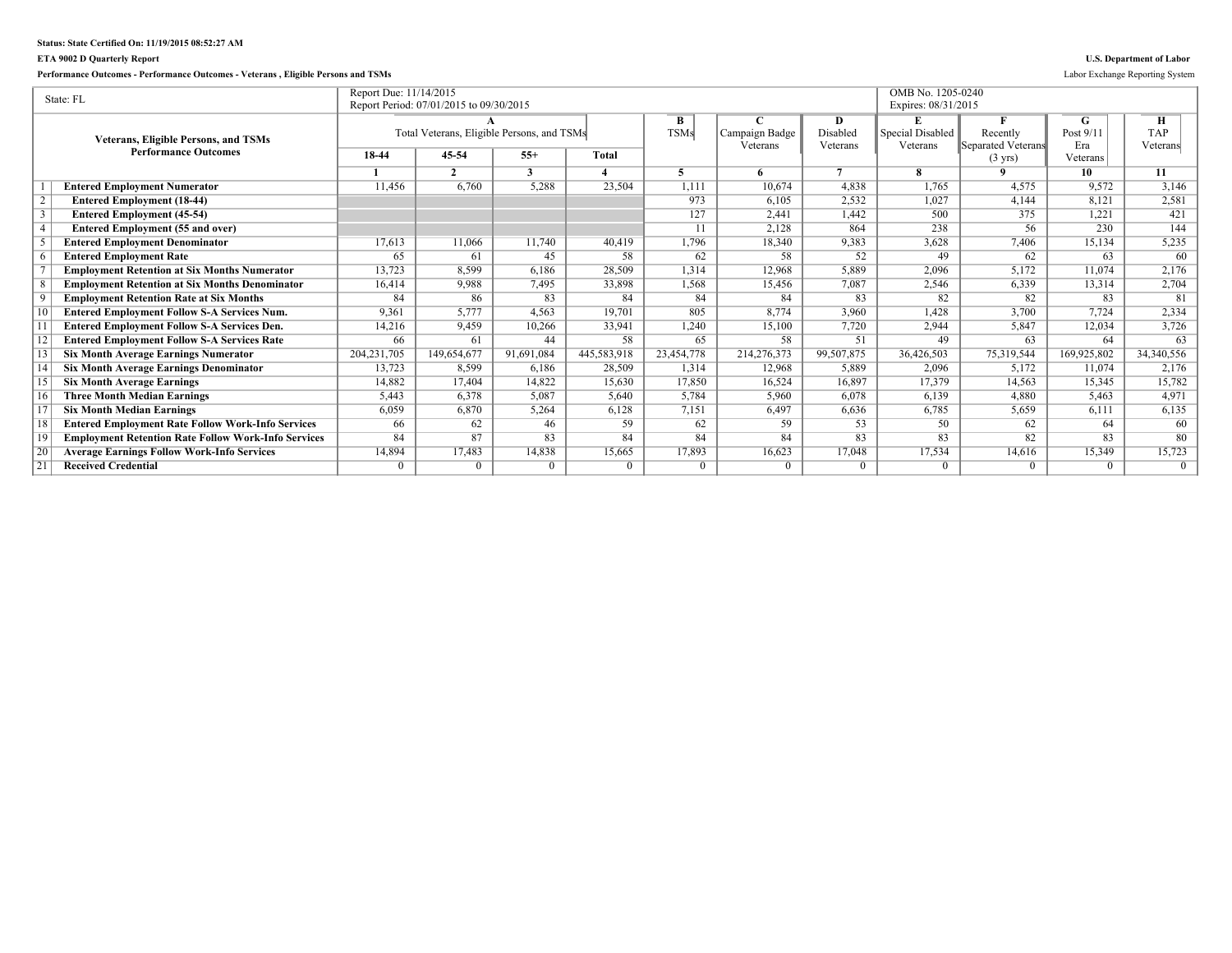## **Status: State Certified On: 11/19/2015 08:52:27 AM**

## **ETA 9002 D Quarterly Report U.S. Department of Labor**

## **Performance Outcomes - Performance Outcomes - Veterans , Eligible Persons and TSMs** Labor Exchange Reporting System

|    | State: FL                                                  | Report Due: 11/14/2015 |                                            |            |             |             |                |                | OMB No. 1205-0240       |                    |             |            |
|----|------------------------------------------------------------|------------------------|--------------------------------------------|------------|-------------|-------------|----------------|----------------|-------------------------|--------------------|-------------|------------|
|    |                                                            |                        | Report Period: 07/01/2015 to 09/30/2015    |            |             |             |                |                | Expires: 08/31/2015     |                    |             |            |
|    |                                                            |                        |                                            |            |             | B           |                | D              | E                       |                    | G.          | Н          |
|    | <b>Veterans, Eligible Persons, and TSMs</b>                |                        | Total Veterans, Eligible Persons, and TSMs |            |             | <b>TSMs</b> | Campaign Badge | Disabled       | <b>Special Disabled</b> | Recently           | Post $9/11$ | <b>TAP</b> |
|    | <b>Performance Outcomes</b>                                |                        |                                            |            |             |             | Veterans       | Veterans       | Veterans                | Separated Veterans | Era         | Veterans   |
|    |                                                            | 18-44                  | 45-54                                      | $55+$      | Total       |             |                |                |                         | $(3 \text{ yrs})$  | Veterans    |            |
|    |                                                            |                        | C                                          | 3          |             |             |                | $\overline{7}$ |                         | $\mathbf{o}$       | 10          | 11         |
|    | <b>Entered Employment Numerator</b>                        | 11,456                 | 6,760                                      | 5,288      | 23,504      | 1,111       | 10.674         | 4,838          | 1,765                   | 4.575              | 9,572       | 3,146      |
|    | <b>Entered Employment (18-44)</b>                          |                        |                                            |            |             | 973         | 6,105          | 2,532          | 1,027                   | 4,144              | 8,121       | 2,581      |
|    | <b>Entered Employment (45-54)</b>                          |                        |                                            |            |             | 127         | 2.441          | 1,442          | 500                     | 375                | 1,221       | 421        |
|    | <b>Entered Employment (55 and over)</b>                    |                        |                                            |            |             | 11          | 2,128          | 864            | 238                     | 56                 | 230         | 144        |
|    | <b>Entered Employment Denominator</b>                      | 17,613                 | 11,066                                     | 11,740     | 40.419      | 1,796       | 18,340         | 9,383          | 3,628                   | 7,406              | 15,134      | 5,235      |
|    | <b>Entered Employment Rate</b>                             | 65                     | 61                                         | 45         | 58          | 62          | 58             | 52             | 49                      | 62                 | 63          | 60         |
|    | <b>Employment Retention at Six Months Numerator</b>        | 13,723                 | 8.599                                      | 6,186      | 28,509      | 1,314       | 12,968         | 5,889          | 2,096                   | 5,172              | 11,074      | 2,176      |
|    | <b>Employment Retention at Six Months Denominator</b>      | 16,414                 | 9.988                                      | 7,495      | 33,898      | 1,568       | 15,456         | 7,087          | 2,546                   | 6,339              | 13,314      | 2,704      |
|    | <b>Employment Retention Rate at Six Months</b>             | 84                     | 86                                         | 83         | 84          | 84          | 84             | 83             | 82                      | 82                 | 83          | 81         |
|    | <b>Entered Employment Follow S-A Services Num.</b>         | 9,361                  | 5.777                                      | 4,563      | 19.701      | 805         | 8,774          | 3,960          | 1,428                   | 3,700              | 7,724       | 2,334      |
|    | <b>Entered Employment Follow S-A Services Den.</b>         | 14,216                 | 9,459                                      | 10,266     | 33,941      | 1,240       | 15,100         | 7,720          | 2,944                   | 5,847              | 12,034      | 3,726      |
|    | <b>Entered Employment Follow S-A Services Rate</b>         | 66                     | 61                                         | 44         | 58          | 65          | 58             | 51             | 49                      | 63                 | 64          | 63         |
|    | <b>Six Month Average Earnings Numerator</b>                | 204, 231, 705          | 149,654,677                                | 91,691,084 | 445,583,918 | 23,454,778  | 214,276,373    | 99,507,875     | 36,426,503              | 75,319,544         | 169,925,802 | 34,340,556 |
|    | <b>Six Month Average Earnings Denominator</b>              | 13,723                 | 8,599                                      | 6,186      | 28,509      | 1.314       | 12,968         | 5,889          | 2,096                   | 5,172              | 11,074      | 2,176      |
|    | <b>Six Month Average Earnings</b>                          | 14,882                 | 17.404                                     | 14,822     | 15,630      | 17,850      | 16,524         | 16,897         | 17,379                  | 14,563             | 15,345      | 15,782     |
|    | <b>Three Month Median Earnings</b>                         | 5,443                  | 6.378                                      | 5.087      | 5.640       | 5,784       | 5.960          | 6.078          | 6,139                   | 4.880              | 5.463       | 4,971      |
|    | <b>Six Month Median Earnings</b>                           | 6,059                  | 6,870                                      | 5,264      | 6,128       | 7,151       | 6,497          | 6,636          | 6,785                   | 5,659              | 6,111       | 6,135      |
|    | <b>Entered Employment Rate Follow Work-Info Services</b>   | 66                     | 62                                         | 46         | 59          | 62          | 59             | 53             | 50                      | 62                 | 64          | 60         |
|    | <b>Employment Retention Rate Follow Work-Info Services</b> | 84                     | 87                                         | 83         | 84          | 84          | 84             | 83             | 83                      | 82                 | 83          | 80         |
| 20 | <b>Average Earnings Follow Work-Info Services</b>          | 14,894                 | 17,483                                     | 14,838     | 15,665      | 17,893      | 16,623         | 17,048         | 17,534                  | 14,616             | 15,349      | 15,723     |
| 21 | <b>Received Credential</b>                                 |                        |                                            | $\Omega$   | $\Omega$    | $\Omega$    | 0              | $\Omega$       | $\Omega$                | 0                  | $\theta$    | $\Omega$   |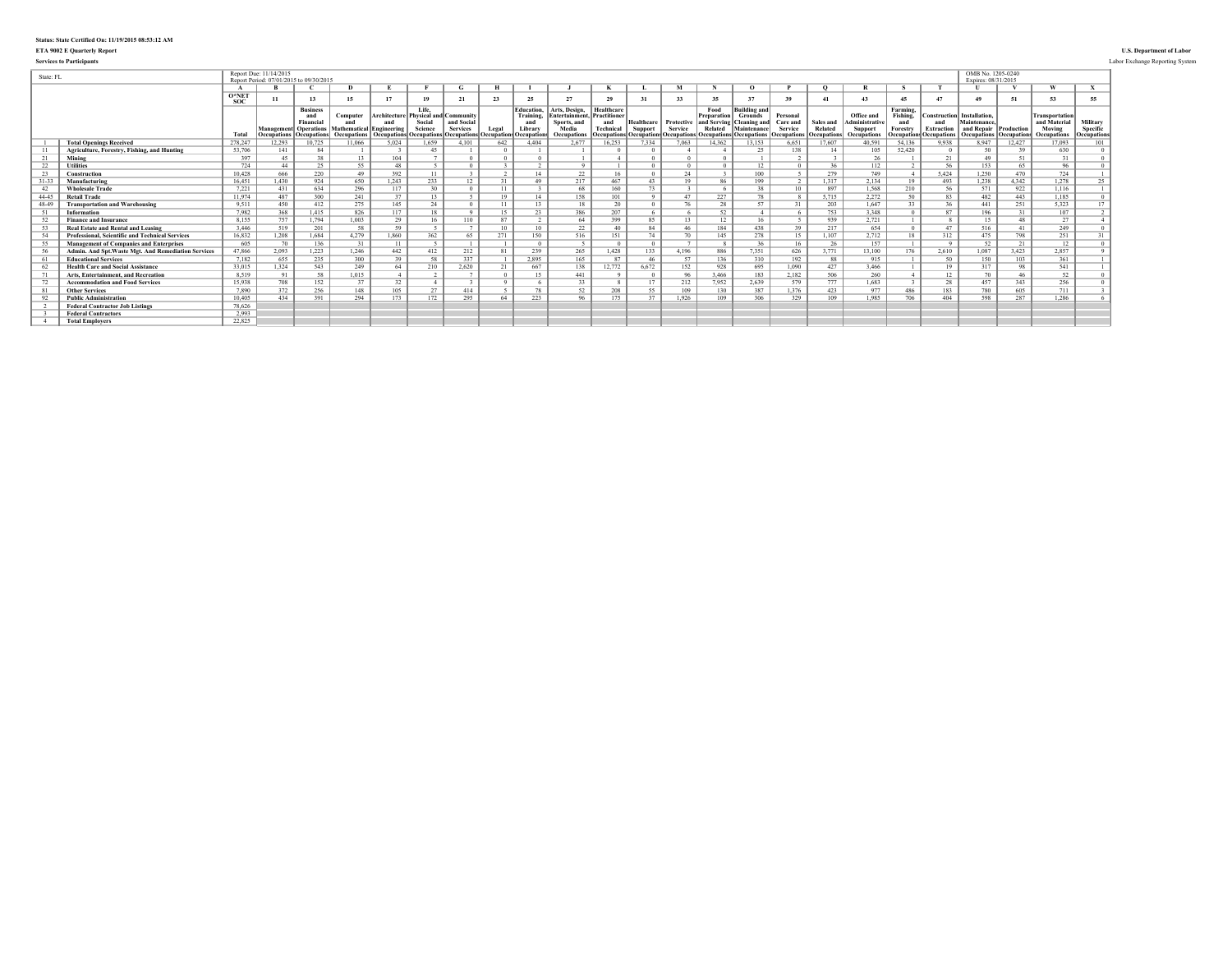# **Status: State Certified On: 11/19/2015 08:53:12 AM**

### **ETA 9002 E Quarterly Report U.S. Department of Labor**

**Services to Participants** Labor Exchange Reporting System

| State: FL |                                                        |                | Report Due: 11/14/2015 | Report Period: 07/01/2015 to 09/30/2015                                                  |                                                                                                      |                                     |                            |                               |                      |                                                                |                                                                              |                                                                     |                       |                                                                |                                               |                                                                                                               |                                                       |                                            |                                                                    |                                                               |                                                                | OMB No. 1205-0240<br>Expires: 08/31/2015                                                |        |                                                                |                                            |
|-----------|--------------------------------------------------------|----------------|------------------------|------------------------------------------------------------------------------------------|------------------------------------------------------------------------------------------------------|-------------------------------------|----------------------------|-------------------------------|----------------------|----------------------------------------------------------------|------------------------------------------------------------------------------|---------------------------------------------------------------------|-----------------------|----------------------------------------------------------------|-----------------------------------------------|---------------------------------------------------------------------------------------------------------------|-------------------------------------------------------|--------------------------------------------|--------------------------------------------------------------------|---------------------------------------------------------------|----------------------------------------------------------------|-----------------------------------------------------------------------------------------|--------|----------------------------------------------------------------|--------------------------------------------|
|           |                                                        |                |                        |                                                                                          | n                                                                                                    |                                     |                            |                               | н                    |                                                                |                                                                              |                                                                     |                       |                                                                |                                               |                                                                                                               |                                                       |                                            |                                                                    |                                                               |                                                                |                                                                                         |        | $\boldsymbol{u}$                                               | X                                          |
|           |                                                        | $O*NE1$<br>soc | 11                     | 13                                                                                       | 15                                                                                                   |                                     | 19                         |                               | 23                   | 25                                                             | 27                                                                           | 29                                                                  | 31                    |                                                                | 35                                            |                                                                                                               | 39                                                    | 41                                         | $\overline{43}$                                                    | 45                                                            | 47                                                             |                                                                                         |        | 53                                                             | 55                                         |
|           |                                                        | Total          | <b>Decupations</b>     | <b>Business</b><br>and<br>Financia<br><b>Management</b> Operations<br><b>Occupations</b> | Computer<br><b>Mathematical Engineering</b><br>Occupations   Occupations   Occupations   Occupations | Architecture Physical and Community | Life.<br>Social<br>Science | and Social<br><b>Services</b> | Legal<br>)ccupations | Education<br>Training.<br>and<br>Library<br><b>Occupations</b> | Arts, Design.<br><b>Entertainment</b><br>Sports, and<br>Media<br>Occupations | Healthcare<br>Practitioner<br>and<br>Technical<br><b>Ccupations</b> | Healthcare<br>Support | Protective<br><b>Service</b><br><b>Occupations</b> Occupations | Food<br>Prenaration<br>and Servins<br>Related | <b>Building and</b><br><b>Grounds</b><br><b>Cleaning</b> and<br>Maintenance<br><b>Occupations</b> Occupations | Personal<br>Care and<br><b>Service</b><br>Occupations | Sales and<br>Related<br><b>Occupations</b> | Office and<br>dministrativ<br><b>Support</b><br><b>Occupations</b> | Farming,<br>Fishing,<br>and<br>Forestry<br><b>Occupation:</b> | Construction<br>and<br><b>Extraction</b><br><b>Occupations</b> | Installation.<br>Maintenance<br>and Repair Production<br><b>Occupations Occupations</b> |        | <b>Transportation</b><br>and Material<br>Moving<br>Occupations | Military<br>Specific<br><b>Occupations</b> |
|           | <b>Total Openings Received</b>                         | 278.247        | 12,293                 | 10,725                                                                                   | 11.066                                                                                               | 5,024                               | 1.659                      | 4.101                         | 642                  | 4.404                                                          | 2.677                                                                        | 16,253                                                              | 7.334                 | 7.063                                                          | 14,362                                        | 13,153                                                                                                        | 6.651                                                 | 17.607                                     | 40.591                                                             | 54.136                                                        | 9.938                                                          | 8.947                                                                                   | 12,427 | 17.093                                                         | 101                                        |
|           | Agriculture, Forestry, Fishing, and Hunting            | 53.706         | 141                    | 84                                                                                       |                                                                                                      |                                     | 45                         |                               |                      |                                                                |                                                                              |                                                                     |                       |                                                                |                                               | 2 <sup>s</sup>                                                                                                | 138                                                   | 14                                         | 105                                                                | 52.420                                                        | $\Omega$                                                       | 50                                                                                      | 39     | 630                                                            |                                            |
| 21        | Mining                                                 | 397            | 45                     | 38                                                                                       | 13                                                                                                   | 104                                 |                            |                               |                      |                                                                |                                                                              |                                                                     |                       |                                                                |                                               |                                                                                                               |                                                       |                                            | 26                                                                 |                                                               | 21                                                             | 49                                                                                      | 51     | 31                                                             |                                            |
| 22        | <b>Utilities</b>                                       | 724            | 44                     | 25                                                                                       | 55                                                                                                   | 48                                  |                            |                               |                      |                                                                |                                                                              |                                                                     |                       |                                                                |                                               | 12                                                                                                            |                                                       | 36                                         | 112                                                                |                                                               | 56                                                             | 153                                                                                     | 65     | 96                                                             |                                            |
| 23        | Construction                                           | 10.428         | 666                    | 220                                                                                      | 49                                                                                                   | 392                                 | 11                         |                               |                      | 14                                                             | $\overline{22}$                                                              | 16                                                                  | $\theta$              | 24                                                             |                                               | 100                                                                                                           |                                                       | 279                                        | 749                                                                |                                                               | 5.424                                                          | 1.250                                                                                   | 470    | 724                                                            |                                            |
| $31 - 33$ | Manufacturing                                          | 16.451         | 1.430                  | 924                                                                                      | 650                                                                                                  | 1.243                               | 233                        | 12                            | 21                   | 49                                                             | 217                                                                          | 467                                                                 | 43                    | 19                                                             | 86                                            | 199                                                                                                           |                                                       | 1.317                                      | 2.134                                                              | 19                                                            | 493                                                            | 1.238                                                                                   | 4.342  | 1.278                                                          | 25                                         |
| 42        | <b>Wholesale Trade</b>                                 | 7.221          | 431                    | 634                                                                                      | 296                                                                                                  | 117                                 | 30                         |                               |                      |                                                                | 68                                                                           | 160                                                                 | 73                    |                                                                |                                               | 38                                                                                                            | 10                                                    | 897                                        | 1.568                                                              | 210                                                           | 56                                                             | 571                                                                                     | 922    | 1.116                                                          |                                            |
| 44-45     | <b>Retail Trade</b>                                    | 11.974         | 487                    | 300                                                                                      | 241                                                                                                  | 37                                  | 13                         |                               | 19                   |                                                                | 158                                                                          | 101                                                                 |                       | 47                                                             | 227                                           | 78                                                                                                            |                                                       | 5.715                                      | 2,272                                                              | 50                                                            | 83                                                             | 482                                                                                     | 443    | 1.185                                                          |                                            |
| 48-49     | <b>Transportation and Warehousing</b>                  | 9.511          | 450                    | 412                                                                                      | 275                                                                                                  | 145                                 | 24                         |                               |                      | 13                                                             | 18                                                                           | 20                                                                  |                       | 76                                                             | 28                                            | 57                                                                                                            |                                                       | 203                                        | 1.647                                                              | 33                                                            | 36                                                             | 441                                                                                     | 251    | 5,323                                                          | 17                                         |
| 51        | Information                                            | 7.982          | 368                    | 1.415                                                                                    | 826                                                                                                  | 117                                 | 18                         |                               | 15                   | 23                                                             | 386                                                                          | 207                                                                 |                       |                                                                | 52                                            |                                                                                                               |                                                       | 753                                        | 3.348                                                              |                                                               | 87                                                             | 196                                                                                     | 31     | 107                                                            |                                            |
| 52        | <b>Finance and Insurance</b>                           | 8155           | 757                    | 794                                                                                      | 1.003                                                                                                | 29                                  | 16                         | 110                           | 87                   |                                                                | 64                                                                           | 399                                                                 | 85                    |                                                                | 12                                            | 16                                                                                                            |                                                       | 939                                        | 2,721                                                              |                                                               |                                                                | 15                                                                                      | 48     | 27                                                             |                                            |
| 53        | <b>Real Estate and Rental and Leasing</b>              | 3.446          | 519                    | 201                                                                                      | 58                                                                                                   | 59                                  |                            |                               | 10                   | 10                                                             | 22                                                                           | $-40$                                                               | 84                    | 46                                                             | 184                                           | 438                                                                                                           | 39                                                    | 217                                        | 654                                                                |                                                               | 47                                                             | 516                                                                                     | 41     | 249                                                            |                                            |
| 54        | <b>Professional, Scientific and Technical Services</b> | 16.832         | 1,208                  | 1.684                                                                                    | 4.279                                                                                                | 1,860                               | 362                        | 65                            | 271                  | 150                                                            | 516                                                                          | 151                                                                 | 74                    | 70                                                             | 145                                           | 278                                                                                                           | 15                                                    | 1,107                                      | 2,712                                                              |                                                               | 312                                                            | 475                                                                                     | 798    | 251                                                            |                                            |
| 55        | <b>Management of Companies and Enterprises</b>         | 605            | 70                     | 136                                                                                      | 31                                                                                                   |                                     |                            |                               |                      |                                                                |                                                                              |                                                                     | $\theta$              |                                                                |                                               | 36                                                                                                            | 16                                                    | 26                                         | 157                                                                |                                                               | $\alpha$                                                       | 52                                                                                      | 21     | 12                                                             |                                            |
| 56        | Admin. And Spt. Waste Mgt. And Remediation Services    | 47.866         | 2,093                  | 1,223                                                                                    | 1.246                                                                                                | 442                                 | 412                        | 212                           |                      | 239                                                            | 265                                                                          | 1,428                                                               | 133                   | 4,196                                                          | 886                                           | 7,351                                                                                                         | 626                                                   | 3.771                                      | 13,100                                                             | 176                                                           | 2.610                                                          | 1.087                                                                                   | 3,423  | 2.857                                                          |                                            |
| 61        | <b>Educational Services</b>                            | 7.182          | 655                    | 235                                                                                      | 300                                                                                                  | 39                                  | 58                         | 337                           |                      | 2.895                                                          | 165                                                                          | 87                                                                  | 46                    | 57                                                             | 136                                           | 310                                                                                                           | 192                                                   | 88                                         | 915                                                                |                                                               | 50                                                             | 150                                                                                     | 103    | 361                                                            |                                            |
| 62        | <b>Health Care and Social Assistance</b>               | 33.015         | 1,324                  | 543                                                                                      | 249                                                                                                  | 64                                  | 210                        | 2,620                         | 21                   | 667                                                            | 138                                                                          | 12,772                                                              | 6.672                 | 152                                                            | 928                                           | 695                                                                                                           | 1.090                                                 | 427                                        | 3,466                                                              |                                                               | 19                                                             | 317                                                                                     | 98     | 541                                                            |                                            |
| 71        | Arts, Entertainment, and Recreation                    | 8.519          | 91                     | 58                                                                                       | 1.015                                                                                                |                                     |                            |                               | $\Omega$             |                                                                | 441                                                                          |                                                                     |                       | 96                                                             | 3.466                                         | 183                                                                                                           | 2.182                                                 | 506                                        | 260                                                                |                                                               | 12                                                             | 70                                                                                      | 46     | 52                                                             |                                            |
| 72        | <b>Accommodation and Food Services</b>                 | 15.938         | 708                    | 152                                                                                      | 37                                                                                                   | 32                                  |                            |                               |                      |                                                                | 33                                                                           |                                                                     | 17                    | 212                                                            | 7,952                                         | 2.639                                                                                                         | 579                                                   | 777                                        | 1.683                                                              |                                                               | 28                                                             | 457                                                                                     | 343    | 256                                                            |                                            |
| 81        | <b>Other Services</b>                                  | 7.890          | 372                    | 256                                                                                      | 148                                                                                                  | 105                                 | 27                         | 414                           |                      | 78                                                             | 52                                                                           | 208                                                                 | 55                    | 109                                                            | 130                                           | 387                                                                                                           | 1376                                                  | 423                                        | 977                                                                | 486                                                           | 183                                                            | 780                                                                                     | 605    | 711                                                            |                                            |
| 92        | <b>Public Administration</b>                           | 10.405         | 434                    | 391                                                                                      | 294                                                                                                  | 173                                 | 172                        | 295                           | 64                   | 223                                                            | 96                                                                           | 175                                                                 | 27                    | 1.926                                                          | 109                                           | 306                                                                                                           | 329                                                   | 109                                        | 1.985                                                              | 706                                                           | 404                                                            | 598                                                                                     | 287    | 1.286                                                          |                                            |
|           | <b>Federal Contractor Job Listings</b>                 | 78.626         |                        |                                                                                          |                                                                                                      |                                     |                            |                               |                      |                                                                |                                                                              |                                                                     |                       |                                                                |                                               |                                                                                                               |                                                       |                                            |                                                                    |                                                               |                                                                |                                                                                         |        |                                                                |                                            |
|           | <b>Federal Contractors</b>                             | 2.993          |                        |                                                                                          |                                                                                                      |                                     |                            |                               |                      |                                                                |                                                                              |                                                                     |                       |                                                                |                                               |                                                                                                               |                                                       |                                            |                                                                    |                                                               |                                                                |                                                                                         |        |                                                                |                                            |
|           | <b>Total Employers</b>                                 | 22,825         |                        |                                                                                          |                                                                                                      |                                     |                            |                               |                      |                                                                |                                                                              |                                                                     |                       |                                                                |                                               |                                                                                                               |                                                       |                                            |                                                                    |                                                               |                                                                |                                                                                         |        |                                                                |                                            |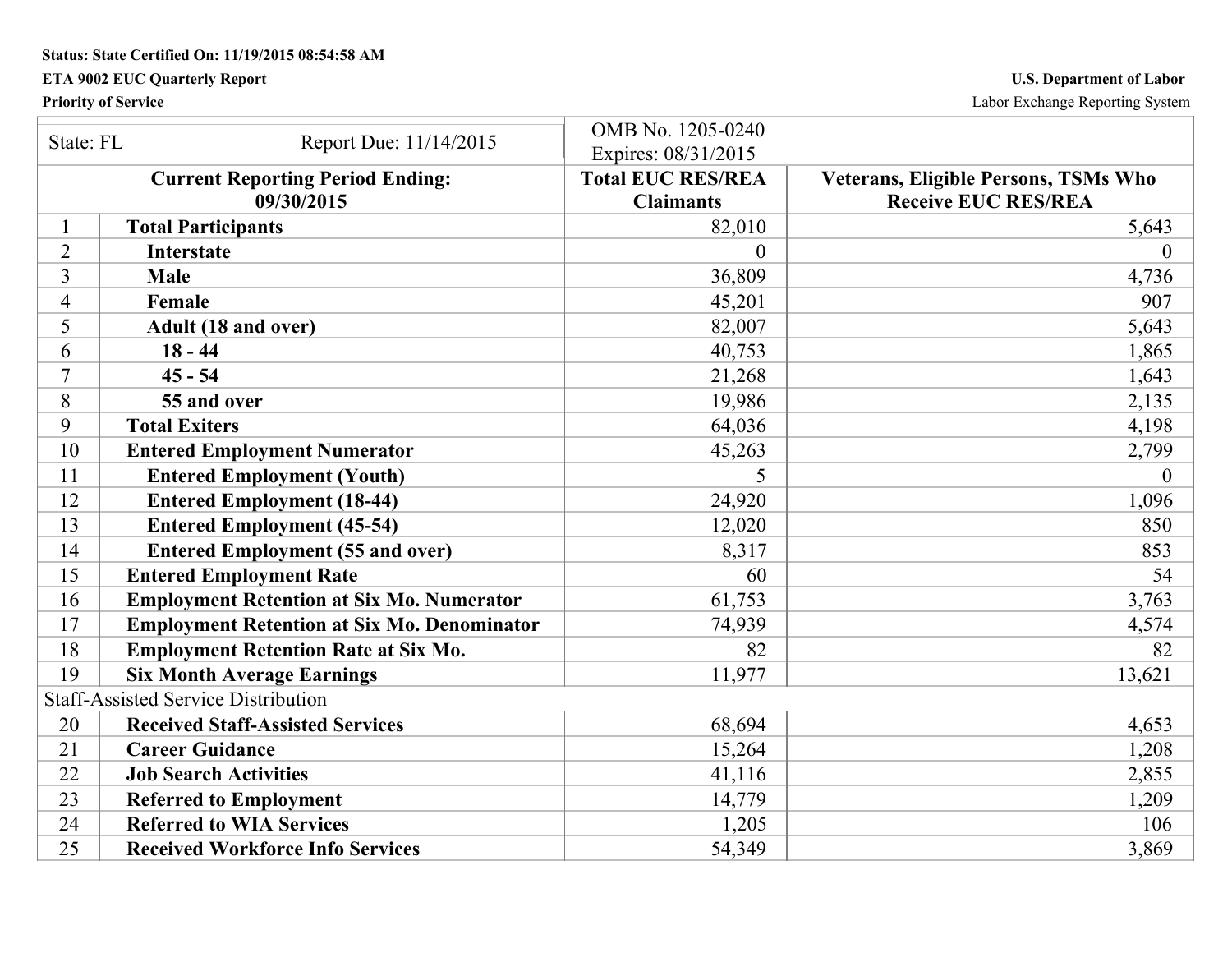**Status: State Certified On: 11/19/2015 08:54:58 AM** 

## **ETA 9002 EUC Quarterly Report U.S. Department of Labor**

**Priority of Service** Labor Exchange Reporting System

| State: FL      | Report Due: 11/14/2015                                | OMB No. 1205-0240<br>Expires: 08/31/2015     |                                                                    |
|----------------|-------------------------------------------------------|----------------------------------------------|--------------------------------------------------------------------|
|                | <b>Current Reporting Period Ending:</b><br>09/30/2015 | <b>Total EUC RES/REA</b><br><b>Claimants</b> | Veterans, Eligible Persons, TSMs Who<br><b>Receive EUC RES/REA</b> |
|                | <b>Total Participants</b>                             | 82,010                                       | 5,643                                                              |
| $\overline{2}$ | <b>Interstate</b>                                     | $\Omega$                                     | $\theta$                                                           |
| 3              | <b>Male</b>                                           | 36,809                                       | 4,736                                                              |
| $\overline{4}$ | Female                                                | 45,201                                       | 907                                                                |
| 5              | Adult (18 and over)                                   | 82,007                                       | 5,643                                                              |
| 6              | $18 - 44$                                             | 40,753                                       | 1,865                                                              |
| 7              | $45 - 54$                                             | 21,268                                       | 1,643                                                              |
| 8              | 55 and over                                           | 19,986                                       | 2,135                                                              |
| 9              | <b>Total Exiters</b>                                  | 64,036                                       | 4,198                                                              |
| 10             | <b>Entered Employment Numerator</b>                   | 45,263                                       | 2,799                                                              |
| 11             | <b>Entered Employment (Youth)</b>                     | 5                                            | $\theta$                                                           |
| 12             | <b>Entered Employment (18-44)</b>                     | 24,920                                       | 1,096                                                              |
| 13             | <b>Entered Employment (45-54)</b>                     | 12,020                                       | 850                                                                |
| 14             | <b>Entered Employment (55 and over)</b>               | 8,317                                        | 853                                                                |
| 15             | <b>Entered Employment Rate</b>                        | 60                                           | 54                                                                 |
| 16             | <b>Employment Retention at Six Mo. Numerator</b>      | 61,753                                       | 3,763                                                              |
| 17             | <b>Employment Retention at Six Mo. Denominator</b>    | 74,939                                       | 4,574                                                              |
| 18             | <b>Employment Retention Rate at Six Mo.</b>           | 82                                           | 82                                                                 |
| 19             | <b>Six Month Average Earnings</b>                     | 11,977                                       | 13,621                                                             |
|                | <b>Staff-Assisted Service Distribution</b>            |                                              |                                                                    |
| 20             | <b>Received Staff-Assisted Services</b>               | 68,694                                       | 4,653                                                              |
| 21             | <b>Career Guidance</b>                                | 15,264                                       | 1,208                                                              |
| 22             | <b>Job Search Activities</b>                          | 41,116                                       | 2,855                                                              |
| 23             | <b>Referred to Employment</b>                         | 14,779                                       | 1,209                                                              |
| 24             | <b>Referred to WIA Services</b>                       | 1,205                                        | 106                                                                |
| 25             | <b>Received Workforce Info Services</b>               | 54,349                                       | 3,869                                                              |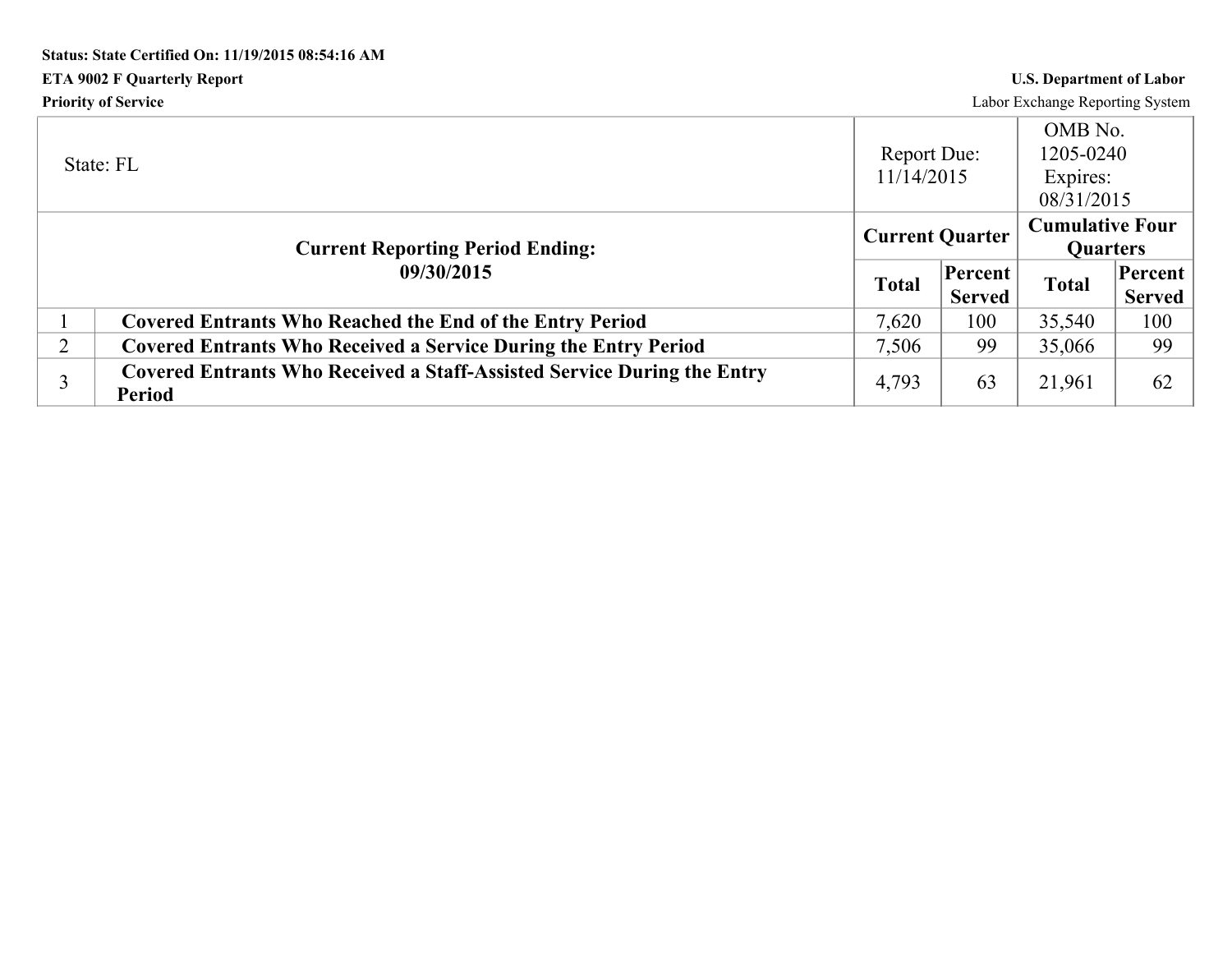# **Status: State Certified On: 11/19/2015 08:54:16 AM ETA 9002 F Quarterly Report U.S. Department of Labor**

**Priority of Service** Labor Exchange Reporting System

|   | State: FL                                                                                | <b>Report Due:</b><br>11/14/2015 |                          | OMB No.<br>1205-0240<br>Expires:<br>08/31/2015 |                     |
|---|------------------------------------------------------------------------------------------|----------------------------------|--------------------------|------------------------------------------------|---------------------|
|   | <b>Current Reporting Period Ending:</b>                                                  | <b>Current Quarter</b>           |                          | <b>Cumulative Four</b><br><b>Quarters</b>      |                     |
|   | 09/30/2015                                                                               | <b>Total</b>                     | Percent<br><b>Served</b> | <b>Total</b>                                   | Percent  <br>Served |
|   | <b>Covered Entrants Who Reached the End of the Entry Period</b>                          | 7,620                            | 100                      | 35,540                                         | 100                 |
| 2 | <b>Covered Entrants Who Received a Service During the Entry Period</b>                   | 7,506                            | 99                       | 35,066                                         | 99                  |
|   | Covered Entrants Who Received a Staff-Assisted Service During the Entry<br><b>Period</b> | 4,793                            | 63                       | 21,961                                         | 62                  |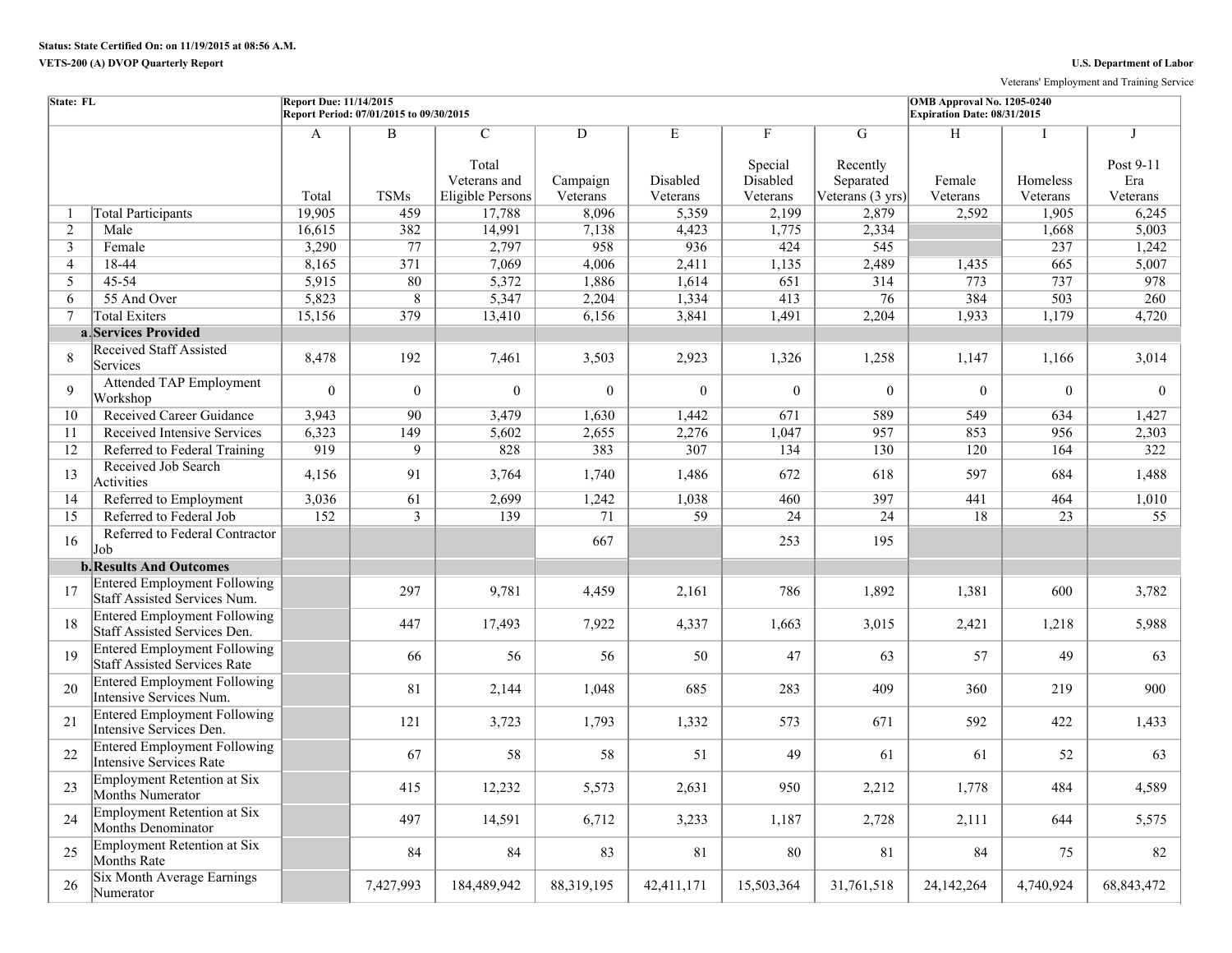Veterans' Employment and Training Service

| <b>State: FL</b> |                                                                            | Report Due: 11/14/2015 | Report Period: 07/01/2015 to 09/30/2015 |                                                            |                           |                           |                                      |                                                | OMB Approval No. 1205-0240<br>Expiration Date: 08/31/2015 |                           |                                             |
|------------------|----------------------------------------------------------------------------|------------------------|-----------------------------------------|------------------------------------------------------------|---------------------------|---------------------------|--------------------------------------|------------------------------------------------|-----------------------------------------------------------|---------------------------|---------------------------------------------|
|                  |                                                                            | $\mathbf{A}$<br>Total  | $\mathbf B$<br><b>TSMs</b>              | $\mathcal{C}$<br>Total<br>Veterans and<br>Eligible Persons | D<br>Campaign<br>Veterans | E<br>Disabled<br>Veterans | F<br>Special<br>Disabled<br>Veterans | G<br>Recently<br>Separated<br>Veterans (3 yrs) | H<br>Female<br>Veterans                                   | I<br>Homeless<br>Veterans | $\mathbf I$<br>Post 9-11<br>Era<br>Veterans |
| -1               | <b>Total Participants</b>                                                  | 19,905                 | 459                                     | 17,788                                                     | 8,096                     | 5,359                     | 2,199                                | 2,879                                          | 2,592                                                     | 1,905                     | 6,245                                       |
| 2                | Male                                                                       | 16,615                 | 382                                     | 14,991                                                     | 7,138                     | 4,423                     | 1,775                                | 2,334                                          |                                                           | 1,668                     | 5,003                                       |
| $\mathfrak{Z}$   | Female                                                                     | 3,290                  | 77                                      | 2,797                                                      | 958                       | 936                       | 424                                  | 545                                            |                                                           | 237                       | 1,242                                       |
| $\overline{4}$   | 18-44                                                                      | 8,165                  | $\overline{371}$                        | 7,069                                                      | 4,006                     | 2,411                     | 1,135                                | 2,489                                          | 1,435                                                     | 665                       | 5,007                                       |
| 5                | 45-54                                                                      | 5,915                  | 80                                      | 5,372                                                      | 1,886                     | 1,614                     | 651                                  | 314                                            | 773                                                       | 737                       | 978                                         |
| 6                | 55 And Over                                                                | 5,823                  | $\overline{8}$                          | 5,347                                                      | 2,204                     | 1,334                     | 413                                  | $\overline{76}$                                | 384                                                       | 503                       | 260                                         |
| $\tau$           | <b>Total Exiters</b>                                                       | 15,156                 | 379                                     | 13,410                                                     | 6,156                     | 3,841                     | 1,491                                | 2,204                                          | 1,933                                                     | 1,179                     | 4,720                                       |
|                  | a Services Provided                                                        |                        |                                         |                                                            |                           |                           |                                      |                                                |                                                           |                           |                                             |
| 8                | <b>Received Staff Assisted</b><br>Services                                 | 8,478                  | 192                                     | 7,461                                                      | 3,503                     | 2,923                     | 1,326                                | 1,258                                          | 1,147                                                     | 1,166                     | 3,014                                       |
| $\mathbf{Q}$     | <b>Attended TAP Employment</b><br>Workshop                                 | $\theta$               | $\overline{0}$                          | $\theta$                                                   | $\theta$                  | $\theta$                  | $\theta$                             | $\theta$                                       | $\Omega$                                                  | $\theta$                  | $\theta$                                    |
| 10               | <b>Received Career Guidance</b>                                            | 3,943                  | 90                                      | 3,479                                                      | 1,630                     | 1,442                     | 671                                  | 589                                            | 549                                                       | 634                       | 1,427                                       |
| 11               | Received Intensive Services                                                | 6,323                  | 149                                     | 5,602                                                      | 2,655                     | 2,276                     | 1,047                                | 957                                            | 853                                                       | 956                       | 2,303                                       |
| 12               | Referred to Federal Training                                               | 919                    | 9                                       | 828                                                        | 383                       | 307                       | 134                                  | 130                                            | 120                                                       | 164                       | 322                                         |
| 13               | Received Job Search<br>Activities                                          | 4,156                  | 91                                      | 3,764                                                      | 1,740                     | 1,486                     | 672                                  | 618                                            | 597                                                       | 684                       | 1,488                                       |
| 14               | Referred to Employment                                                     | 3,036                  | 61                                      | 2,699                                                      | 1,242                     | 1,038                     | 460                                  | 397                                            | 441                                                       | 464                       | 1,010                                       |
| 15               | Referred to Federal Job                                                    | 152                    | $\overline{3}$                          | 139                                                        | $\overline{71}$           | $\overline{59}$           | 24                                   | 24                                             | 18                                                        | $\overline{23}$           | 55                                          |
| 16               | Referred to Federal Contractor<br>Job                                      |                        |                                         |                                                            | 667                       |                           | 253                                  | 195                                            |                                                           |                           |                                             |
|                  | <b>b. Results And Outcomes</b>                                             |                        |                                         |                                                            |                           |                           |                                      |                                                |                                                           |                           |                                             |
| 17               | <b>Entered Employment Following</b><br>Staff Assisted Services Num.        |                        | 297                                     | 9,781                                                      | 4,459                     | 2,161                     | 786                                  | 1,892                                          | 1,381                                                     | 600                       | 3,782                                       |
| 18               | <b>Entered Employment Following</b><br>Staff Assisted Services Den.        |                        | 447                                     | 17,493                                                     | 7,922                     | 4,337                     | 1,663                                | 3,015                                          | 2,421                                                     | 1,218                     | 5,988                                       |
| 19               | <b>Entered Employment Following</b><br><b>Staff Assisted Services Rate</b> |                        | 66                                      | 56                                                         | 56                        | 50                        | 47                                   | 63                                             | 57                                                        | 49                        | 63                                          |
| 20               | <b>Entered Employment Following</b><br>Intensive Services Num.             |                        | 81                                      | 2,144                                                      | 1,048                     | 685                       | 283                                  | 409                                            | 360                                                       | 219                       | 900                                         |
| 21               | <b>Entered Employment Following</b><br>Intensive Services Den.             |                        | 121                                     | 3,723                                                      | 1,793                     | 1,332                     | 573                                  | 671                                            | 592                                                       | 422                       | 1,433                                       |
| 22               | <b>Entered Employment Following</b><br>Intensive Services Rate             |                        | 67                                      | 58                                                         | 58                        | 51                        | 49                                   | 61                                             | 61                                                        | 52                        | 63                                          |
| 23               | Employment Retention at Six<br>Months Numerator                            |                        | 415                                     | 12,232                                                     | 5,573                     | 2,631                     | 950                                  | 2,212                                          | 1,778                                                     | 484                       | 4,589                                       |
| 24               | Employment Retention at Six<br>Months Denominator                          |                        | 497                                     | 14,591                                                     | 6,712                     | 3,233                     | 1,187                                | 2,728                                          | 2,111                                                     | 644                       | 5,575                                       |
| 25               | Employment Retention at Six<br>Months Rate                                 |                        | 84                                      | 84                                                         | 83                        | 81                        | 80                                   | 81                                             | 84                                                        | 75                        | 82                                          |
| 26               | Six Month Average Earnings<br>Numerator                                    |                        | 7,427,993                               | 184,489,942                                                | 88,319,195                | 42,411,171                | 15,503,364                           | 31,761,518                                     | 24,142,264                                                | 4,740,924                 | 68, 843, 472                                |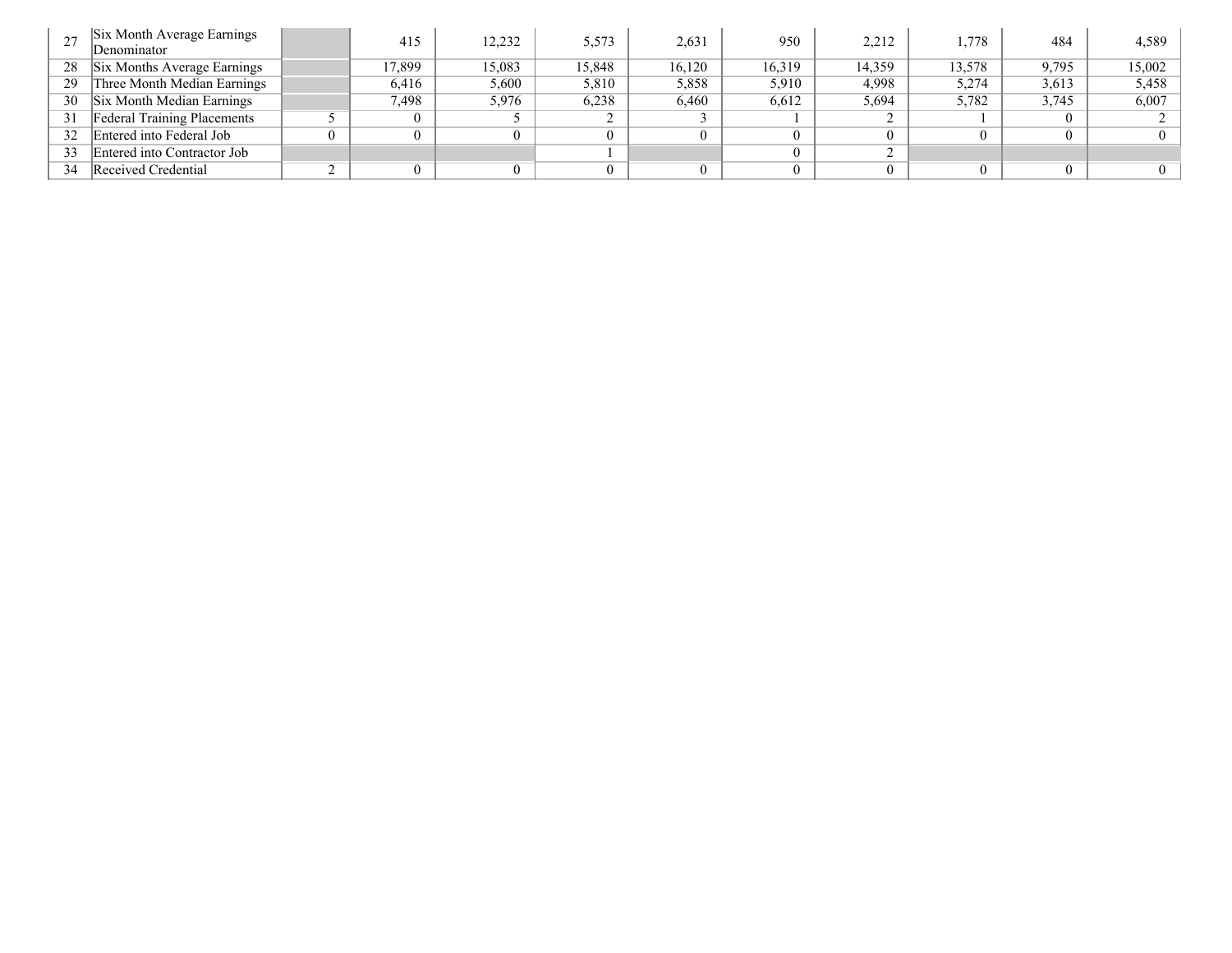|    | Six Month Average Earnings<br>Denominator | 415   | 12,232 | 5,573  | 2,631  | 950    | 2,212  | 1,778  | 484   | 4,589    |
|----|-------------------------------------------|-------|--------|--------|--------|--------|--------|--------|-------|----------|
| 28 | Six Months Average Earnings               | 7,899 | 15.083 | 15,848 | 16,120 | 16,319 | 14,359 | 13,578 | 9,795 | 15,002   |
| 29 | Three Month Median Earnings               | 6,416 | 5,600  | 5,810  | 5,858  | 5,910  | 4,998  | 5,274  | 3,613 | 5,458    |
| 30 | Six Month Median Earnings                 | 7,498 | 5,976  | 6,238  | 6,460  | 6,612  | 5,694  | 5,782  | 3,745 | 6,007    |
| 31 | <b>Federal Training Placements</b>        |       |        |        |        |        |        |        |       |          |
| 32 | Entered into Federal Job                  |       |        |        |        |        |        |        |       | $\Omega$ |
| 33 | Entered into Contractor Job               |       |        |        |        |        |        |        |       |          |
| 34 | Received Credential                       |       |        |        |        |        |        | 0      |       | $\Omega$ |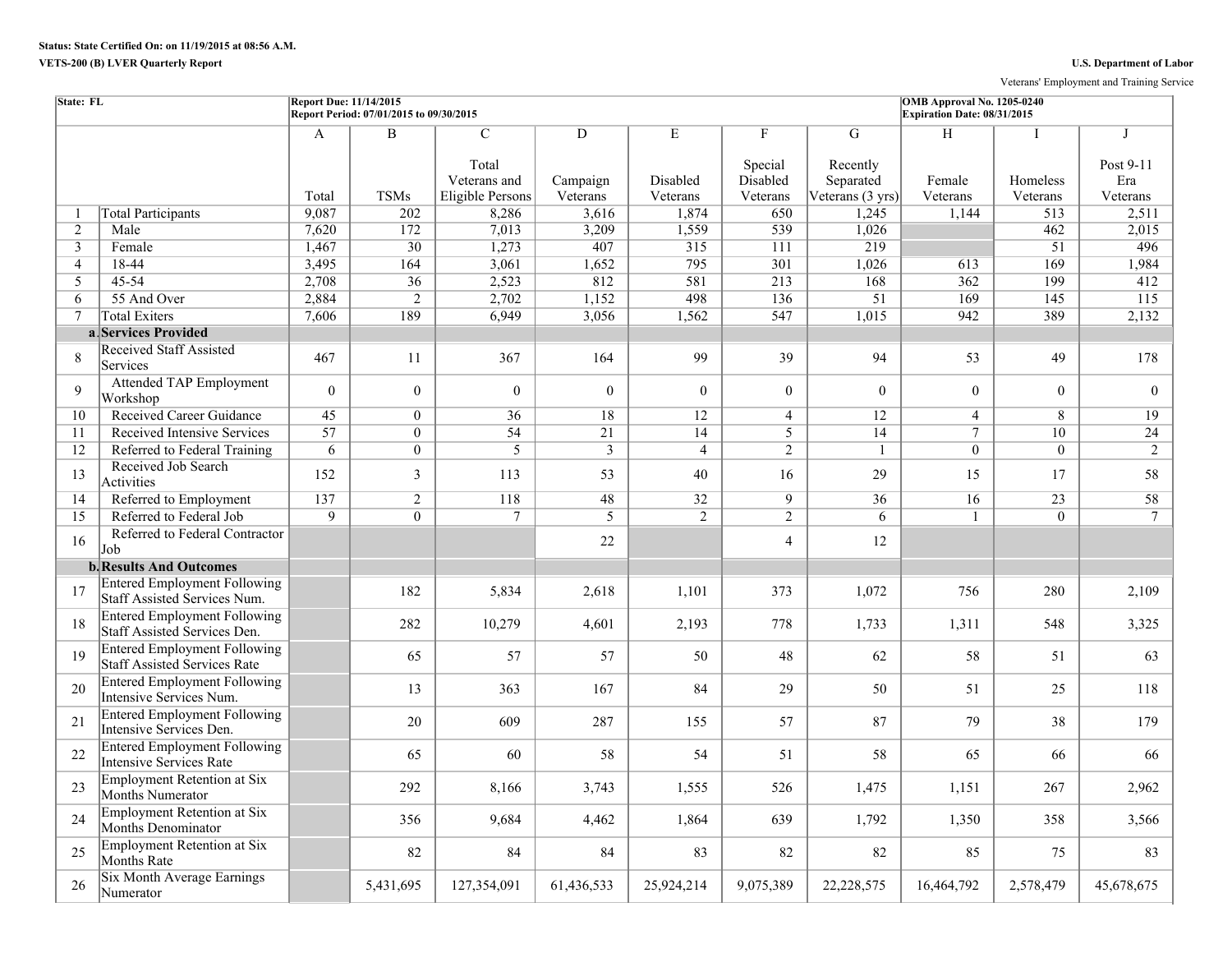Veterans' Employment and Training Service

| State: FL      |                                                                            | <b>Report Due: 11/14/2015</b> | Report Period: 07/01/2015 to 09/30/2015 |                                                             |                           |                           |                                      |                                                          | OMB Approval No. 1205-0240<br>Expiration Date: 08/31/2015 |                      |                                   |
|----------------|----------------------------------------------------------------------------|-------------------------------|-----------------------------------------|-------------------------------------------------------------|---------------------------|---------------------------|--------------------------------------|----------------------------------------------------------|-----------------------------------------------------------|----------------------|-----------------------------------|
|                |                                                                            | $\mathbf{A}$<br>Total         | $\overline{\mathbf{B}}$<br><b>TSMs</b>  | $\overline{C}$<br>Total<br>Veterans and<br>Eligible Persons | D<br>Campaign<br>Veterans | E<br>Disabled<br>Veterans | F<br>Special<br>Disabled<br>Veterans | G<br>Recently<br>Separated<br>Veterans $(3 \text{ yrs})$ | H<br>Female<br>Veterans                                   | Homeless<br>Veterans | J<br>Post 9-11<br>Era<br>Veterans |
| -1             | <b>Total Participants</b>                                                  | 9,087                         | 202                                     | 8,286                                                       | 3,616                     | 1,874                     | 650                                  | 1,245                                                    | 1,144                                                     | 513                  | 2,511                             |
| $\overline{2}$ | Male                                                                       | 7.620                         | 172                                     | 7,013                                                       | 3,209                     | 1,559                     | 539                                  | 1,026                                                    |                                                           | 462                  | 2.015                             |
| 3              | Female                                                                     | 1,467                         | $\overline{30}$                         | 1,273                                                       | 407                       | $\overline{315}$          | 111                                  | $\overline{219}$                                         |                                                           | 51                   | 496                               |
| $\overline{4}$ | 18-44                                                                      | 3,495                         | 164                                     | 3,061                                                       | 1,652                     | 795                       | 301                                  | 1,026                                                    | 613                                                       | 169                  | 1,984                             |
| 5              | 45-54                                                                      | 2,708                         | $\overline{36}$                         | 2,523                                                       | 812                       | 581                       | 213                                  | 168                                                      | 362                                                       | 199                  | 412                               |
| 6              | 55 And Over                                                                | 2,884                         | $\overline{2}$                          | 2,702                                                       | 1,152                     | 498                       | 136                                  | 51                                                       | $\overline{169}$                                          | 145                  | 115                               |
| $\tau$         | <b>Total Exiters</b>                                                       | 7,606                         | 189                                     | 6,949                                                       | 3,056                     | 1,562                     | 547                                  | 1,015                                                    | 942                                                       | 389                  | 2,132                             |
|                | a Services Provided                                                        |                               |                                         |                                                             |                           |                           |                                      |                                                          |                                                           |                      |                                   |
| 8              | <b>Received Staff Assisted</b><br>Services                                 | 467                           | 11                                      | 367                                                         | 164                       | 99                        | 39                                   | 94                                                       | 53                                                        | 49                   | 178                               |
| 9              | <b>Attended TAP Employment</b><br>Workshop                                 | $\theta$                      | $\Omega$                                | $\theta$                                                    | $\Omega$                  | $\theta$                  | $\theta$                             | $\theta$                                                 | $\theta$                                                  | $\theta$             | $\theta$                          |
| 10             | <b>Received Career Guidance</b>                                            | 45                            | $\overline{0}$                          | 36                                                          | 18                        | 12                        | $\overline{4}$                       | 12                                                       | $\overline{4}$                                            | 8                    | 19                                |
| 11             | <b>Received Intensive Services</b>                                         | $\overline{57}$               | $\overline{0}$                          | 54                                                          | 21                        | 14                        | $\overline{5}$                       | 14                                                       | $\tau$                                                    | 10                   | $\overline{24}$                   |
| 12             | Referred to Federal Training                                               | 6                             | $\overline{0}$                          | $\overline{5}$                                              | $\overline{3}$            | $\overline{4}$            | $\overline{2}$                       | $\mathbf{1}$                                             | $\theta$                                                  | $\theta$             | $\overline{2}$                    |
| 13             | Received Job Search<br>Activities                                          | 152                           | $\overline{3}$                          | 113                                                         | 53                        | 40                        | 16                                   | 29                                                       | 15                                                        | 17                   | 58                                |
| 14             | Referred to Employment                                                     | 137                           | $\overline{2}$                          | 118                                                         | 48                        | 32                        | $\overline{9}$                       | 36                                                       | 16                                                        | $\overline{23}$      | 58                                |
| 15             | Referred to Federal Job                                                    | $\overline{9}$                | $\overline{0}$                          | $\overline{7}$                                              | $\overline{5}$            | $\overline{2}$            | $\overline{2}$                       | $\overline{6}$                                           |                                                           | $\overline{0}$       | $7\phantom{.0}$                   |
| 16             | Referred to Federal Contractor<br>Job                                      |                               |                                         |                                                             | 22                        |                           | $\overline{4}$                       | 12                                                       |                                                           |                      |                                   |
|                | <b>b.</b> Results And Outcomes                                             |                               |                                         |                                                             |                           |                           |                                      |                                                          |                                                           |                      |                                   |
| 17             | <b>Entered Employment Following</b><br>Staff Assisted Services Num.        |                               | 182                                     | 5,834                                                       | 2,618                     | 1,101                     | 373                                  | 1,072                                                    | 756                                                       | 280                  | 2,109                             |
| 18             | <b>Entered Employment Following</b><br>Staff Assisted Services Den.        |                               | 282                                     | 10,279                                                      | 4,601                     | 2,193                     | 778                                  | 1,733                                                    | 1,311                                                     | 548                  | 3,325                             |
| 19             | <b>Entered Employment Following</b><br><b>Staff Assisted Services Rate</b> |                               | 65                                      | 57                                                          | 57                        | 50                        | 48                                   | 62                                                       | 58                                                        | 51                   | 63                                |
| 20             | <b>Entered Employment Following</b><br>Intensive Services Num.             |                               | 13                                      | 363                                                         | 167                       | 84                        | 29                                   | 50                                                       | 51                                                        | 25                   | 118                               |
| 21             | <b>Entered Employment Following</b><br>Intensive Services Den.             |                               | 20                                      | 609                                                         | 287                       | 155                       | 57                                   | 87                                                       | 79                                                        | 38                   | 179                               |
| 22             | <b>Entered Employment Following</b><br><b>Intensive Services Rate</b>      |                               | 65                                      | 60                                                          | 58                        | 54                        | 51                                   | 58                                                       | 65                                                        | 66                   | 66                                |
| 23             | Employment Retention at Six<br>Months Numerator                            |                               | 292                                     | 8,166                                                       | 3,743                     | 1,555                     | 526                                  | 1,475                                                    | 1,151                                                     | 267                  | 2,962                             |
| 24             | Employment Retention at Six<br>Months Denominator                          |                               | 356                                     | 9,684                                                       | 4,462                     | 1,864                     | 639                                  | 1,792                                                    | 1,350                                                     | 358                  | 3,566                             |
| 25             | Employment Retention at Six<br>Months Rate                                 |                               | 82                                      | 84                                                          | 84                        | 83                        | 82                                   | 82                                                       | 85                                                        | 75                   | 83                                |
| 26             | Six Month Average Earnings<br>Numerator                                    |                               | 5,431,695                               | 127,354,091                                                 | 61,436,533                | 25,924,214                | 9,075,389                            | 22,228,575                                               | 16,464,792                                                | 2,578,479            | 45,678,675                        |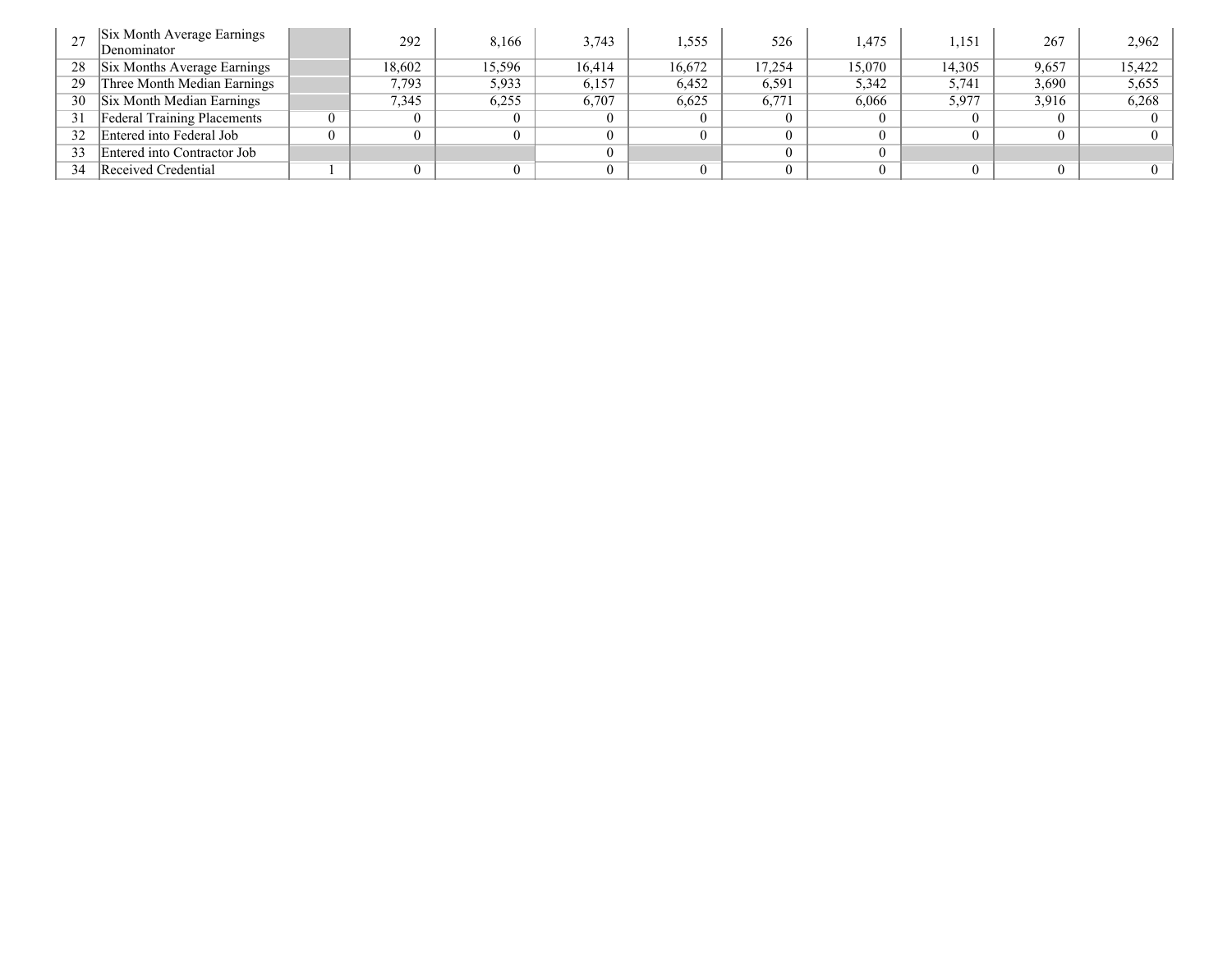|    | Six Month Average Earnings<br>Denominator | 292    | 8,166  | 3.743  | 1,555  | 526    | .475   | .151   | 267   | 2,962    |
|----|-------------------------------------------|--------|--------|--------|--------|--------|--------|--------|-------|----------|
| 28 | Six Months Average Earnings               | 18,602 | 15,596 | 16,414 | 16,672 | 17.254 | 15,070 | 14.305 | 9,657 | 15.422   |
| 29 | Three Month Median Earnings               | 7,793  | 5,933  | 6,157  | 6,452  | 6,591  | 5,342  | 5,741  | 3,690 | 5,655    |
| 30 | Six Month Median Earnings                 | 7,345  | 6,255  | 6,707  | 6,625  | 6,771  | 6,066  | 5,977  | 3.916 | 6,268    |
| 31 | <b>Federal Training Placements</b>        | 0      |        |        |        |        |        |        |       | $\theta$ |
| 32 | Entered into Federal Job                  | 0      |        |        |        |        |        |        |       | $\theta$ |
| 33 | Entered into Contractor Job               |        |        |        |        |        |        |        |       |          |
| 34 | Received Credential                       | 0      |        |        |        |        |        |        |       | $\Omega$ |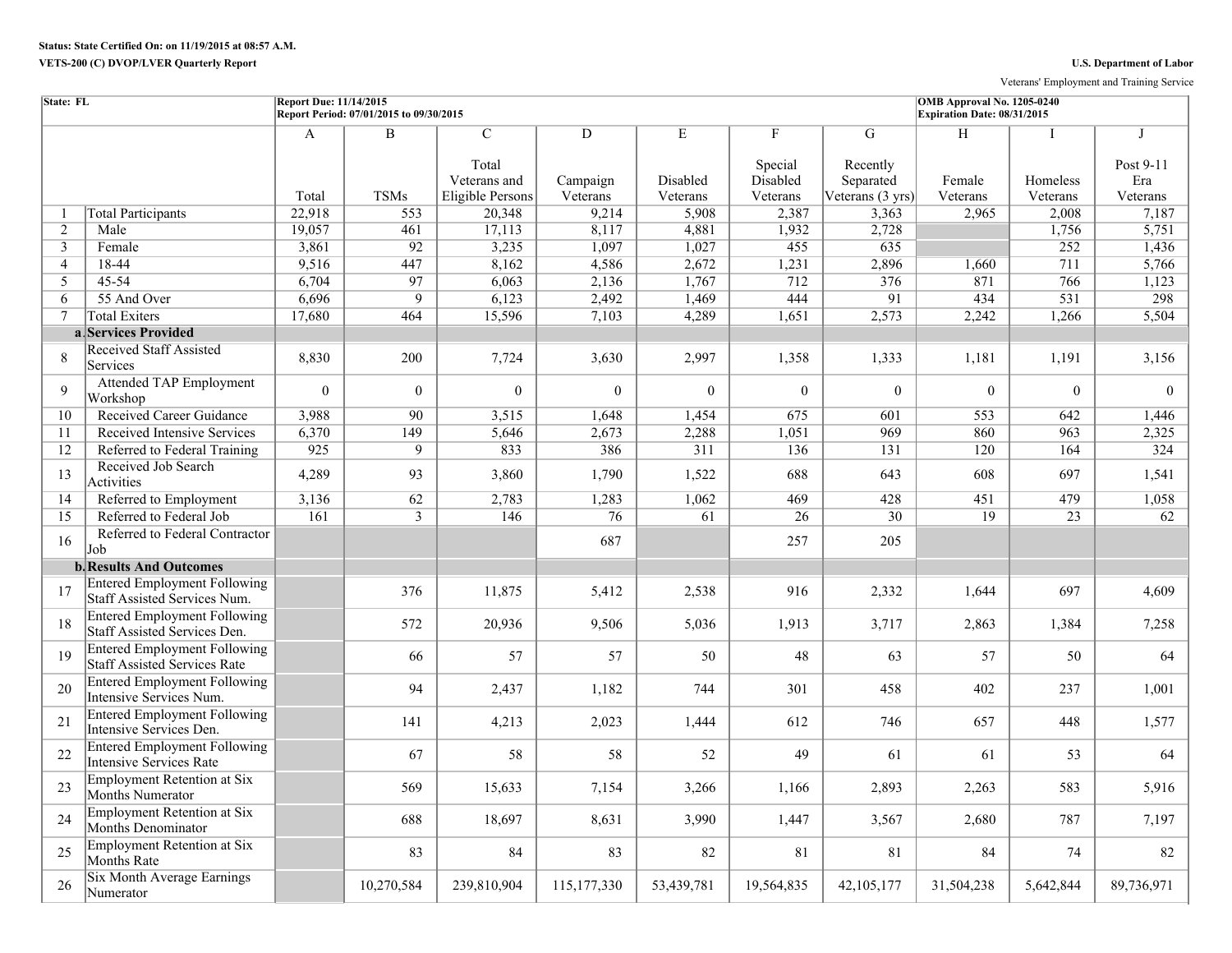Veterans' Employment and Training Service

| State: FL      |                                                                            | <b>Report Due: 11/14/2015</b> | Report Period: 07/01/2015 to 09/30/2015 |                                                             |                           |                           |                                      |                                                | OMB Approval No. 1205-0240<br>Expiration Date: 08/31/2015 |                           |                                   |
|----------------|----------------------------------------------------------------------------|-------------------------------|-----------------------------------------|-------------------------------------------------------------|---------------------------|---------------------------|--------------------------------------|------------------------------------------------|-----------------------------------------------------------|---------------------------|-----------------------------------|
|                |                                                                            | A<br>Total                    | $\overline{B}$<br><b>TSMs</b>           | $\overline{C}$<br>Total<br>Veterans and<br>Eligible Persons | D<br>Campaign<br>Veterans | E<br>Disabled<br>Veterans | F<br>Special<br>Disabled<br>Veterans | G<br>Recently<br>Separated<br>Veterans (3 yrs) | H<br>Female<br>Veterans                                   | T<br>Homeless<br>Veterans | J<br>Post 9-11<br>Era<br>Veterans |
| 1              | <b>Total Participants</b>                                                  | 22,918                        | 553                                     | 20,348                                                      | 9,214                     | 5,908                     | 2,387                                | 3,363                                          | 2,965                                                     | 2,008                     | 7,187                             |
| 2              | Male                                                                       | 19,057                        | 461                                     | 17,113                                                      | 8,117                     | 4,881                     | 1,932                                | 2,728                                          |                                                           | 1,756                     | 5,751                             |
| $\mathbf{3}$   | Female                                                                     | 3,861                         | 92                                      | 3,235                                                       | 1,097                     | 1,027                     | 455                                  | 635                                            |                                                           | 252                       | 1,436                             |
| $\overline{4}$ | 18-44                                                                      | 9,516                         | 447                                     | 8,162                                                       | 4,586                     | 2,672                     | 1,231                                | 2,896                                          | 1,660                                                     | 711                       | 5,766                             |
| 5              | 45-54                                                                      | 6,704                         | 97                                      | 6,063                                                       | 2,136                     | 1,767                     | 712                                  | 376                                            | 871                                                       | 766                       | 1,123                             |
| 6              | 55 And Over                                                                | 6,696                         | 9                                       | 6,123                                                       | 2,492                     | 1,469                     | 444                                  | $\overline{91}$                                | 434                                                       | $\overline{531}$          | 298                               |
| $\tau$         | <b>Total Exiters</b>                                                       | 17,680                        | 464                                     | 15,596                                                      | 7,103                     | 4,289                     | 1,651                                | 2,573                                          | 2,242                                                     | 1,266                     | 5,504                             |
|                | a Services Provided                                                        |                               |                                         |                                                             |                           |                           |                                      |                                                |                                                           |                           |                                   |
| 8              | <b>Received Staff Assisted</b><br>Services                                 | 8,830                         | 200                                     | 7,724                                                       | 3,630                     | 2,997                     | 1,358                                | 1,333                                          | 1,181                                                     | 1,191                     | 3,156                             |
| 9              | <b>Attended TAP Employment</b><br>Workshop                                 | $\boldsymbol{0}$              | $\overline{0}$                          | $\theta$                                                    | $\overline{0}$            | $\overline{0}$            | $\theta$                             | $\theta$                                       | $\Omega$                                                  | $\overline{0}$            | $\theta$                          |
| 10             | Received Career Guidance                                                   | 3,988                         | $\overline{90}$                         | 3,515                                                       | 1,648                     | 1,454                     | 675                                  | 601                                            | 553                                                       | 642                       | 1,446                             |
| 11             | Received Intensive Services                                                | 6,370                         | 149                                     | 5,646                                                       | 2,673                     | 2,288                     | 1,051                                | 969                                            | 860                                                       | 963                       | 2,325                             |
| 12             | Referred to Federal Training                                               | 925                           | $\overline{9}$                          | 833                                                         | 386                       | 311                       | 136                                  | 131                                            | 120                                                       | 164                       | 324                               |
| 13             | Received Job Search<br>Activities                                          | 4,289                         | 93                                      | 3,860                                                       | 1,790                     | 1,522                     | 688                                  | 643                                            | 608                                                       | 697                       | 1,541                             |
| 14             | Referred to Employment                                                     | 3,136                         | 62                                      | 2,783                                                       | 1,283                     | 1,062                     | 469                                  | 428                                            | 451                                                       | 479                       | 1,058                             |
| 15             | Referred to Federal Job                                                    | $\overline{161}$              | $\overline{3}$                          | 146                                                         | 76                        | 61                        | 26                                   | $\overline{30}$                                | $\overline{19}$                                           | $\overline{23}$           | 62                                |
| 16             | Referred to Federal Contractor<br>Job                                      |                               |                                         |                                                             | 687                       |                           | 257                                  | 205                                            |                                                           |                           |                                   |
|                | <b>b. Results And Outcomes</b>                                             |                               |                                         |                                                             |                           |                           |                                      |                                                |                                                           |                           |                                   |
| 17             | <b>Entered Employment Following</b><br>Staff Assisted Services Num.        |                               | 376                                     | 11,875                                                      | 5,412                     | 2,538                     | 916                                  | 2,332                                          | 1,644                                                     | 697                       | 4,609                             |
| 18             | <b>Entered Employment Following</b><br>Staff Assisted Services Den.        |                               | 572                                     | 20,936                                                      | 9,506                     | 5,036                     | 1,913                                | 3,717                                          | 2,863                                                     | 1,384                     | 7,258                             |
| 19             | <b>Entered Employment Following</b><br><b>Staff Assisted Services Rate</b> |                               | 66                                      | 57                                                          | 57                        | 50                        | 48                                   | 63                                             | 57                                                        | 50                        | 64                                |
| 20             | <b>Entered Employment Following</b><br>Intensive Services Num.             |                               | 94                                      | 2,437                                                       | 1,182                     | 744                       | 301                                  | 458                                            | 402                                                       | 237                       | 1,001                             |
| 21             | <b>Entered Employment Following</b><br>Intensive Services Den.             |                               | 141                                     | 4,213                                                       | 2,023                     | 1,444                     | 612                                  | 746                                            | 657                                                       | 448                       | 1,577                             |
| 22             | <b>Entered Employment Following</b><br><b>Intensive Services Rate</b>      |                               | 67                                      | 58                                                          | 58                        | 52                        | 49                                   | 61                                             | 61                                                        | 53                        | 64                                |
| 23             | <b>Employment Retention at Six</b><br>Months Numerator                     |                               | 569                                     | 15,633                                                      | 7,154                     | 3,266                     | 1,166                                | 2,893                                          | 2,263                                                     | 583                       | 5,916                             |
| 24             | <b>Employment Retention at Six</b><br><b>Months Denominator</b>            |                               | 688                                     | 18,697                                                      | 8,631                     | 3,990                     | 1,447                                | 3,567                                          | 2,680                                                     | 787                       | 7,197                             |
| 25             | <b>Employment Retention at Six</b><br><b>Months Rate</b>                   |                               | 83                                      | 84                                                          | 83                        | 82                        | 81                                   | 81                                             | 84                                                        | 74                        | 82                                |
| 26             | <b>Six Month Average Earnings</b><br>Numerator                             |                               | 10,270,584                              | 239,810,904                                                 | 115, 177, 330             | 53,439,781                | 19,564,835                           | 42, 105, 177                                   | 31,504,238                                                | 5,642,844                 | 89,736,971                        |